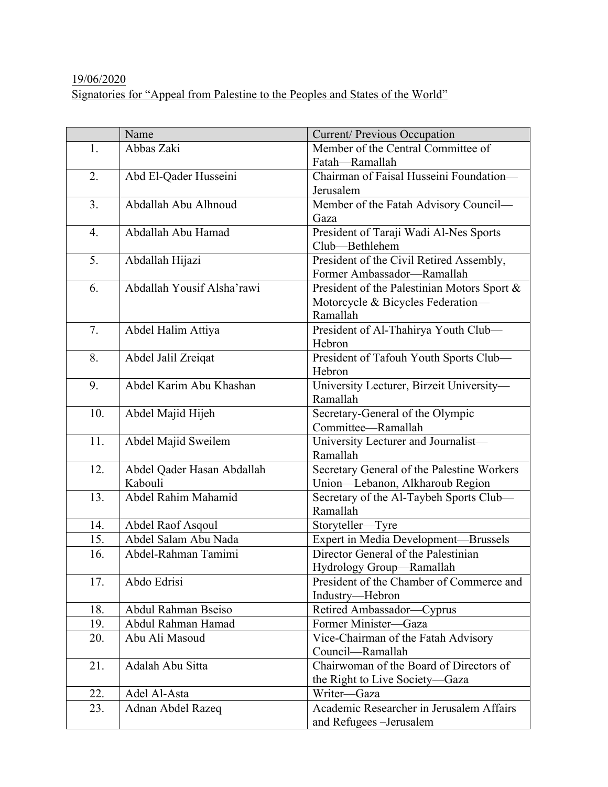## 19/06/2020 Signatories for "Appeal from Palestine to the Peoples and States of the World"

|                  | Name                       | Current/ Previous Occupation                |
|------------------|----------------------------|---------------------------------------------|
| 1.               | Abbas Zaki                 | Member of the Central Committee of          |
|                  |                            | Fatah-Ramallah                              |
| 2.               | Abd El-Qader Husseini      | Chairman of Faisal Husseini Foundation-     |
|                  |                            | Jerusalem                                   |
| 3.               | Abdallah Abu Alhnoud       | Member of the Fatah Advisory Council-       |
|                  |                            | Gaza                                        |
| $\overline{4}$ . | Abdallah Abu Hamad         | President of Taraji Wadi Al-Nes Sports      |
|                  |                            | Club-Bethlehem                              |
| 5.               | Abdallah Hijazi            | President of the Civil Retired Assembly,    |
|                  |                            | Former Ambassador-Ramallah                  |
| 6.               | Abdallah Yousif Alsha'rawi | President of the Palestinian Motors Sport & |
|                  |                            | Motorcycle & Bicycles Federation-           |
|                  |                            | Ramallah                                    |
| 7.               | Abdel Halim Attiya         | President of Al-Thahirya Youth Club-        |
|                  |                            | Hebron                                      |
| 8.               | Abdel Jalil Zreigat        | President of Tafouh Youth Sports Club-      |
|                  |                            | Hebron                                      |
| 9.               | Abdel Karim Abu Khashan    | University Lecturer, Birzeit University-    |
|                  |                            | Ramallah                                    |
| 10.              | Abdel Majid Hijeh          | Secretary-General of the Olympic            |
|                  |                            | Committee-Ramallah                          |
| 11.              | Abdel Majid Sweilem        | University Lecturer and Journalist-         |
|                  |                            | Ramallah                                    |
| 12.              | Abdel Qader Hasan Abdallah | Secretary General of the Palestine Workers  |
|                  | Kabouli                    | Union-Lebanon, Alkharoub Region             |
| 13.              | Abdel Rahim Mahamid        | Secretary of the Al-Taybeh Sports Club-     |
|                  |                            | Ramallah                                    |
| 14.              | Abdel Raof Asqoul          | Storyteller-Tyre                            |
| 15.              | Abdel Salam Abu Nada       | Expert in Media Development-Brussels        |
| 16.              | Abdel-Rahman Tamimi        | Director General of the Palestinian         |
|                  |                            | Hydrology Group-Ramallah                    |
| 17.              | Abdo Edrisi                | President of the Chamber of Commerce and    |
|                  |                            | Industry-Hebron                             |
| 18.              | Abdul Rahman Bseiso        | Retired Ambassador-Cyprus                   |
| 19.              | Abdul Rahman Hamad         | Former Minister-Gaza                        |
| 20.              | Abu Ali Masoud             | Vice-Chairman of the Fatah Advisory         |
|                  |                            | Council-Ramallah                            |
| 21.              | Adalah Abu Sitta           | Chairwoman of the Board of Directors of     |
|                  |                            | the Right to Live Society-Gaza              |
| 22.              | Adel Al-Asta               | Writer-Gaza                                 |
| 23.              | Adnan Abdel Razeq          | Academic Researcher in Jerusalem Affairs    |
|                  |                            | and Refugees - Jerusalem                    |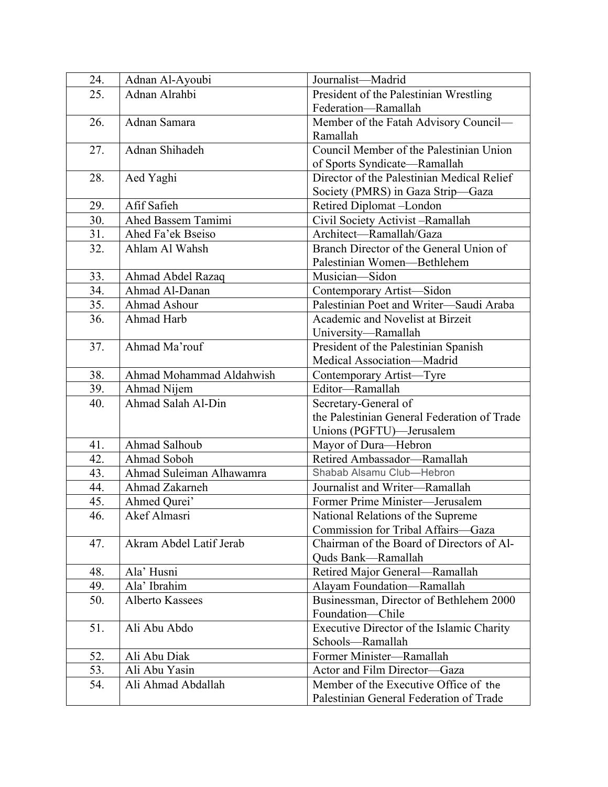| 24. | Adnan Al-Ayoubi          | Journalist-Madrid                           |
|-----|--------------------------|---------------------------------------------|
| 25. | Adnan Alrahbi            | President of the Palestinian Wrestling      |
|     |                          | Federation-Ramallah                         |
| 26. | Adnan Samara             | Member of the Fatah Advisory Council-       |
|     |                          | Ramallah                                    |
| 27. | Adnan Shihadeh           | Council Member of the Palestinian Union     |
|     |                          | of Sports Syndicate-Ramallah                |
| 28. | Aed Yaghi                | Director of the Palestinian Medical Relief  |
|     |                          | Society (PMRS) in Gaza Strip-Gaza           |
| 29. | Afif Safieh              | Retired Diplomat-London                     |
| 30. | Ahed Bassem Tamimi       | Civil Society Activist-Ramallah             |
| 31. | Ahed Fa'ek Bseiso        | Architect-Ramallah/Gaza                     |
| 32. | Ahlam Al Wahsh           | Branch Director of the General Union of     |
|     |                          | Palestinian Women-Bethlehem                 |
| 33. | Ahmad Abdel Razaq        | Musician-Sidon                              |
| 34. | Ahmad Al-Danan           | Contemporary Artist-Sidon                   |
| 35. | <b>Ahmad Ashour</b>      | Palestinian Poet and Writer-Saudi Araba     |
| 36. | Ahmad Harb               | Academic and Novelist at Birzeit            |
|     |                          | University-Ramallah                         |
| 37. | Ahmad Ma'rouf            | President of the Palestinian Spanish        |
|     |                          | Medical Association-Madrid                  |
| 38. | Ahmad Mohammad Aldahwish | Contemporary Artist-Tyre                    |
| 39. | Ahmad Nijem              | Editor-Ramallah                             |
| 40. | Ahmad Salah Al-Din       | Secretary-General of                        |
|     |                          | the Palestinian General Federation of Trade |
|     |                          | Unions (PGFTU)—Jerusalem                    |
| 41. | Ahmad Salhoub            | Mayor of Dura-Hebron                        |
| 42. | Ahmad Soboh              | Retired Ambassador-Ramallah                 |
| 43. | Ahmad Suleiman Alhawamra | Shabab Alsamu Club-Hebron                   |
| 44. | Ahmad Zakarneh           | Journalist and Writer-Ramallah              |
| 45. | Ahmed Qurei'             | Former Prime Minister-Jerusalem             |
| 46. | Akef Almasri             | National Relations of the Supreme           |
|     |                          | Commission for Tribal Affairs-Gaza          |
| 47. | Akram Abdel Latif Jerab  | Chairman of the Board of Directors of Al-   |
|     |                          | Quds Bank-Ramallah                          |
| 48. | Ala' Husni               | Retired Major General-Ramallah              |
| 49. | Ala' Ibrahim             | Alayam Foundation-Ramallah                  |
| 50. | <b>Alberto Kassees</b>   | Businessman, Director of Bethlehem 2000     |
|     |                          | Foundation-Chile                            |
| 51. | Ali Abu Abdo             | Executive Director of the Islamic Charity   |
|     |                          | Schools-Ramallah                            |
| 52. | Ali Abu Diak             | Former Minister-Ramallah                    |
| 53. | Ali Abu Yasin            | Actor and Film Director-Gaza                |
| 54. | Ali Ahmad Abdallah       | Member of the Executive Office of the       |
|     |                          | Palestinian General Federation of Trade     |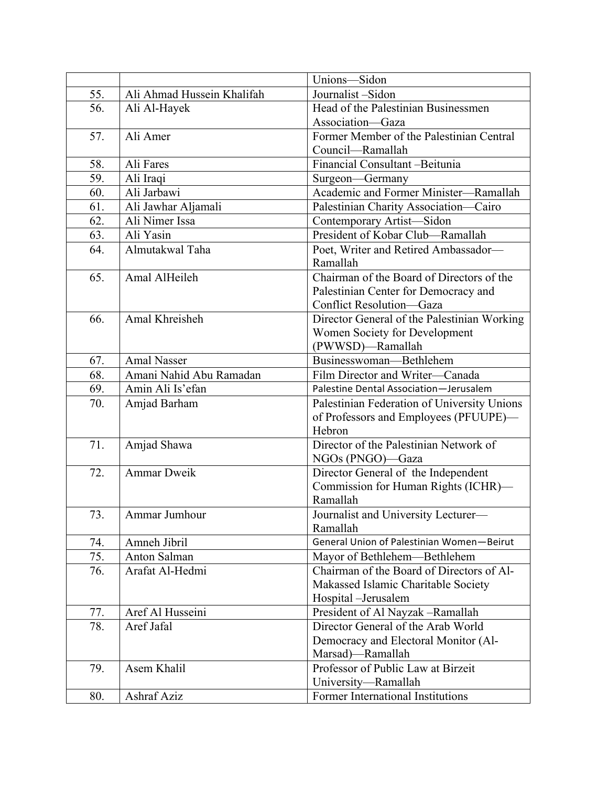|     |                            | Unions-Sidon                                |
|-----|----------------------------|---------------------------------------------|
| 55. | Ali Ahmad Hussein Khalifah | Journalist-Sidon                            |
| 56. | Ali Al-Hayek               | Head of the Palestinian Businessmen         |
|     |                            | Association-Gaza                            |
| 57. | Ali Amer                   | Former Member of the Palestinian Central    |
|     |                            | Council—Ramallah                            |
| 58. | Ali Fares                  | Financial Consultant -Beitunia              |
| 59. | Ali Iraqi                  | Surgeon-Germany                             |
| 60. | Ali Jarbawi                | Academic and Former Minister-Ramallah       |
| 61. | Ali Jawhar Aljamali        | Palestinian Charity Association-Cairo       |
| 62. | Ali Nimer Issa             | Contemporary Artist-Sidon                   |
| 63. | Ali Yasin                  | President of Kobar Club-Ramallah            |
| 64. | Almutakwal Taha            | Poet, Writer and Retired Ambassador-        |
|     |                            | Ramallah                                    |
| 65. | Amal AlHeileh              | Chairman of the Board of Directors of the   |
|     |                            | Palestinian Center for Democracy and        |
|     |                            | Conflict Resolution-Gaza                    |
| 66. | Amal Khreisheh             | Director General of the Palestinian Working |
|     |                            | Women Society for Development               |
|     |                            | (PWWSD)-Ramallah                            |
| 67. | <b>Amal Nasser</b>         | Businesswoman-Bethlehem                     |
| 68. | Amani Nahid Abu Ramadan    | Film Director and Writer-Canada             |
| 69. | Amin Ali Is'efan           | Palestine Dental Association-Jerusalem      |
| 70. | Amjad Barham               | Palestinian Federation of University Unions |
|     |                            | of Professors and Employees (PFUUPE)-       |
|     |                            | Hebron                                      |
| 71. | Amjad Shawa                | Director of the Palestinian Network of      |
|     |                            | NGOs (PNGO)-Gaza                            |
| 72. | <b>Ammar Dweik</b>         | Director General of the Independent         |
|     |                            | Commission for Human Rights (ICHR)-         |
|     |                            | Ramallah                                    |
| 73. | Ammar Jumhour              | Journalist and University Lecturer-         |
|     |                            | Ramallah                                    |
| 74. | Amneh Jibril               | General Union of Palestinian Women-Beirut   |
| 75. | Anton Salman               | Mayor of Bethlehem—Bethlehem                |
| 76. | Arafat Al-Hedmi            | Chairman of the Board of Directors of Al-   |
|     |                            | Makassed Islamic Charitable Society         |
|     |                            | Hospital -Jerusalem                         |
| 77. | Aref Al Husseini           | President of Al Nayzak -Ramallah            |
| 78. | Aref Jafal                 | Director General of the Arab World          |
|     |                            | Democracy and Electoral Monitor (Al-        |
|     |                            | Marsad)-Ramallah                            |
| 79. | Asem Khalil                | Professor of Public Law at Birzeit          |
|     |                            | University-Ramallah                         |
| 80. | <b>Ashraf Aziz</b>         | Former International Institutions           |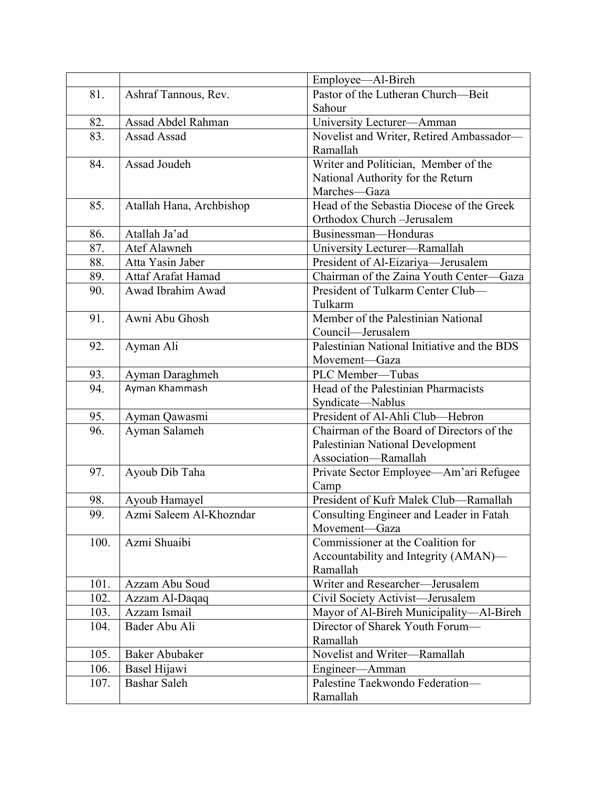|      |                          | Employee—Al-Bireh                            |
|------|--------------------------|----------------------------------------------|
| 81.  | Ashraf Tannous, Rev.     | Pastor of the Lutheran Church-Beit           |
|      |                          | Sahour                                       |
| 82.  | Assad Abdel Rahman       | University Lecturer-Amman                    |
| 83.  | Assad Assad              | Novelist and Writer, Retired Ambassador-     |
|      |                          | Ramallah                                     |
| 84.  | Assad Joudeh             | Writer and Politician, Member of the         |
|      |                          | National Authority for the Return            |
|      |                          | Marches-Gaza                                 |
| 85.  | Atallah Hana, Archbishop | Head of the Sebastia Diocese of the Greek    |
|      |                          | Orthodox Church-Jerusalem                    |
| 86.  | Atallah Ja'ad            | Businessman-Honduras                         |
| 87.  | Atef Alawneh             | University Lecturer-Ramallah                 |
| 88.  | Atta Yasin Jaber         | President of Al-Eizariya—Jerusalem           |
| 89.  | Attaf Arafat Hamad       | Chairman of the Zaina Youth Center-<br>-Gaza |
| 90.  | Awad Ibrahim Awad        | President of Tulkarm Center Club-            |
|      |                          | Tulkarm                                      |
| 91.  | Awni Abu Ghosh           | Member of the Palestinian National           |
|      |                          | Council—Jerusalem                            |
| 92.  | Ayman Ali                | Palestinian National Initiative and the BDS  |
|      |                          | Movement-Gaza                                |
| 93.  | Ayman Daraghmeh          | PLC Member-Tubas                             |
| 94.  | Ayman Khammash           | Head of the Palestinian Pharmacists          |
|      |                          | Syndicate-Nablus                             |
| 95.  | Ayman Qawasmi            | President of Al-Ahli Club-Hebron             |
| 96.  | Ayman Salameh            | Chairman of the Board of Directors of the    |
|      |                          | Palestinian National Development             |
|      |                          | Association-Ramallah                         |
| 97.  | Ayoub Dib Taha           | Private Sector Employee-Am'ari Refugee       |
|      |                          | Camp                                         |
| 98.  | Ayoub Hamayel            | President of Kufr Malek Club-Ramallah        |
| 99   | Azmi Saleem Al-Khozndar  | Consulting Engineer and Leader in Fatah      |
|      |                          | Movement-Gaza                                |
| 100. | Azmi Shuaibi             | Commissioner at the Coalition for            |
|      |                          | Accountability and Integrity (AMAN)—         |
|      |                          | Ramallah                                     |
| 101. | Azzam Abu Soud           | Writer and Researcher-Jerusalem              |
| 102. | Azzam Al-Daqaq           | Civil Society Activist-Jerusalem             |
| 103. | Azzam Ismail             | Mayor of Al-Bireh Municipality-Al-Bireh      |
| 104. | Bader Abu Ali            | Director of Sharek Youth Forum-              |
|      |                          | Ramallah                                     |
| 105. | <b>Baker Abubaker</b>    | Novelist and Writer-Ramallah                 |
| 106. | Basel Hijawi             | Engineer-Amman                               |
| 107. | <b>Bashar Saleh</b>      | Palestine Taekwondo Federation-              |
|      |                          | Ramallah                                     |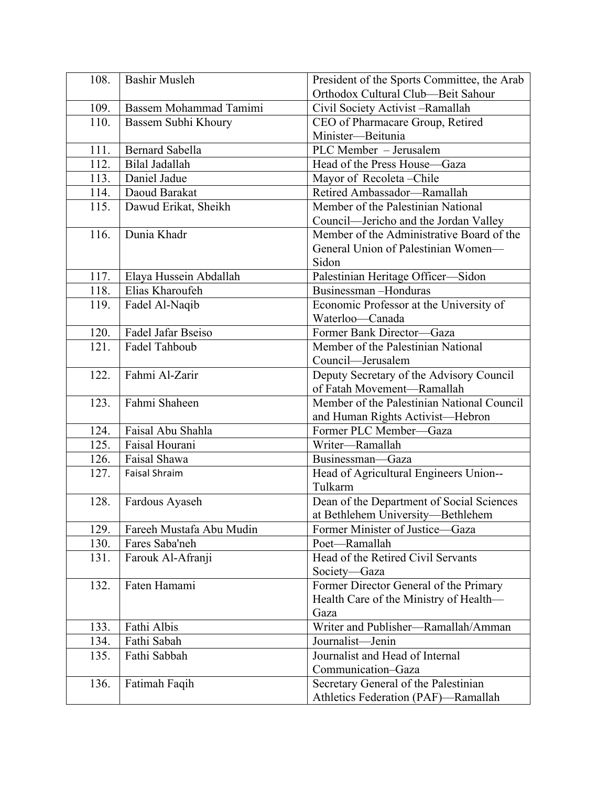| 108. | <b>Bashir Musleh</b>     | President of the Sports Committee, the Arab |
|------|--------------------------|---------------------------------------------|
|      |                          | Orthodox Cultural Club-Beit Sahour          |
| 109. | Bassem Mohammad Tamimi   | Civil Society Activist-Ramallah             |
| 110. | Bassem Subhi Khoury      | CEO of Pharmacare Group, Retired            |
|      |                          | Minister-Beitunia                           |
| 111. | <b>Bernard Sabella</b>   | PLC Member - Jerusalem                      |
| 112. | Bilal Jadallah           | Head of the Press House-Gaza                |
| 113. | Daniel Jadue             | Mayor of Recoleta-Chile                     |
| 114. | Daoud Barakat            | Retired Ambassador-Ramallah                 |
| 115. | Dawud Erikat, Sheikh     | Member of the Palestinian National          |
|      |                          | Council—Jericho and the Jordan Valley       |
| 116. | Dunia Khadr              | Member of the Administrative Board of the   |
|      |                          | General Union of Palestinian Women-         |
|      |                          | Sidon                                       |
| 117. | Elaya Hussein Abdallah   | Palestinian Heritage Officer-Sidon          |
| 118. | Elias Kharoufeh          | Businessman-Honduras                        |
| 119. | Fadel Al-Naqib           | Economic Professor at the University of     |
|      |                          | Waterloo-Canada                             |
| 120. | Fadel Jafar Bseiso       | Former Bank Director-Gaza                   |
| 121. | Fadel Tahboub            | Member of the Palestinian National          |
|      |                          | Council-Jerusalem                           |
| 122. | Fahmi Al-Zarir           | Deputy Secretary of the Advisory Council    |
|      |                          | of Fatah Movement-Ramallah                  |
| 123. | Fahmi Shaheen            | Member of the Palestinian National Council  |
|      |                          | and Human Rights Activist-Hebron            |
| 124. | Faisal Abu Shahla        | Former PLC Member-Gaza                      |
| 125. | Faisal Hourani           | Writer-Ramallah                             |
| 126. | Faisal Shawa             | Businessman-Gaza                            |
| 127. | <b>Faisal Shraim</b>     | Head of Agricultural Engineers Union--      |
|      |                          | Tulkarm                                     |
| 128. | Fardous Ayaseh           | Dean of the Department of Social Sciences   |
|      |                          | at Bethlehem University-Bethlehem           |
| 129. | Fareeh Mustafa Abu Mudin | Former Minister of Justice-Gaza             |
| 130. | Fares Saba'neh           | Poet-Ramallah                               |
| 131. | Farouk Al-Afranji        | Head of the Retired Civil Servants          |
|      |                          | Society-Gaza                                |
| 132. | Faten Hamami             | Former Director General of the Primary      |
|      |                          | Health Care of the Ministry of Health—      |
|      |                          | Gaza                                        |
| 133. | Fathi Albis              | Writer and Publisher-Ramallah/Amman         |
| 134. | Fathi Sabah              | Journalist-Jenin                            |
| 135. | Fathi Sabbah             | Journalist and Head of Internal             |
|      |                          | Communication-Gaza                          |
| 136. | Fatimah Faqih            | Secretary General of the Palestinian        |
|      |                          | Athletics Federation (PAF)-Ramallah         |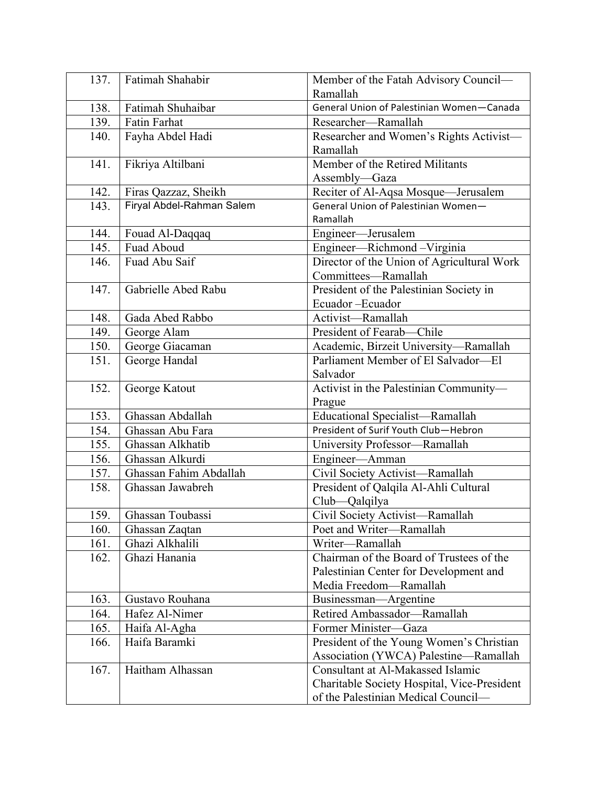| 137. | Fatimah Shahabir          | Member of the Fatah Advisory Council-       |
|------|---------------------------|---------------------------------------------|
|      |                           | Ramallah                                    |
| 138. | Fatimah Shuhaibar         | General Union of Palestinian Women-Canada   |
| 139. | <b>Fatin Farhat</b>       | Researcher-Ramallah                         |
| 140. | Fayha Abdel Hadi          | Researcher and Women's Rights Activist-     |
|      |                           | Ramallah                                    |
| 141. | Fikriya Altilbani         | Member of the Retired Militants             |
|      |                           | Assembly-Gaza                               |
| 142. | Firas Qazzaz, Sheikh      | Reciter of Al-Aqsa Mosque-Jerusalem         |
| 143. | Firyal Abdel-Rahman Salem | General Union of Palestinian Women-         |
|      |                           | Ramallah                                    |
| 144. | Fouad Al-Daqqaq           | Engineer-Jerusalem                          |
| 145. | Fuad Aboud                | Engineer-Richmond-Virginia                  |
| 146. | Fuad Abu Saif             | Director of the Union of Agricultural Work  |
|      |                           | Committees-Ramallah                         |
| 147. | Gabrielle Abed Rabu       | President of the Palestinian Society in     |
|      |                           | Ecuador-Ecuador                             |
| 148. | Gada Abed Rabbo           | Activist-Ramallah                           |
| 149. | George Alam               | President of Fearab-Chile                   |
| 150. | George Giacaman           | Academic, Birzeit University-Ramallah       |
| 151. | George Handal             | Parliament Member of El Salvador-El         |
|      |                           | Salvador                                    |
| 152. | George Katout             | Activist in the Palestinian Community-      |
|      |                           | Prague                                      |
| 153. | Ghassan Abdallah          | Educational Specialist-Ramallah             |
| 154. | Ghassan Abu Fara          | President of Surif Youth Club-Hebron        |
| 155. | Ghassan Alkhatib          | University Professor-Ramallah               |
| 156. | Ghassan Alkurdi           | Engineer-Amman                              |
| 157. | Ghassan Fahim Abdallah    | Civil Society Activist-Ramallah             |
| 158. | Ghassan Jawabreh          | President of Qalqila Al-Ahli Cultural       |
|      |                           | Club-Qalqilya                               |
| 159. | Ghassan Toubassi          | Civil Society Activist-Ramallah             |
| 160. | Ghassan Zaqtan            | Poet and Writer-Ramallah                    |
| 161. | Ghazi Alkhalili           | Writer-Ramallah                             |
| 162. | Ghazi Hanania             | Chairman of the Board of Trustees of the    |
|      |                           | Palestinian Center for Development and      |
|      |                           | Media Freedom-Ramallah                      |
| 163. | Gustavo Rouhana           | Businessman-Argentine                       |
| 164. | Hafez Al-Nimer            | Retired Ambassador-Ramallah                 |
| 165. | Haifa Al-Agha             | Former Minister-Gaza                        |
| 166. | Haifa Baramki             | President of the Young Women's Christian    |
|      |                           | Association (YWCA) Palestine-Ramallah       |
| 167. | Haitham Alhassan          | Consultant at Al-Makassed Islamic           |
|      |                           | Charitable Society Hospital, Vice-President |
|      |                           | of the Palestinian Medical Council—         |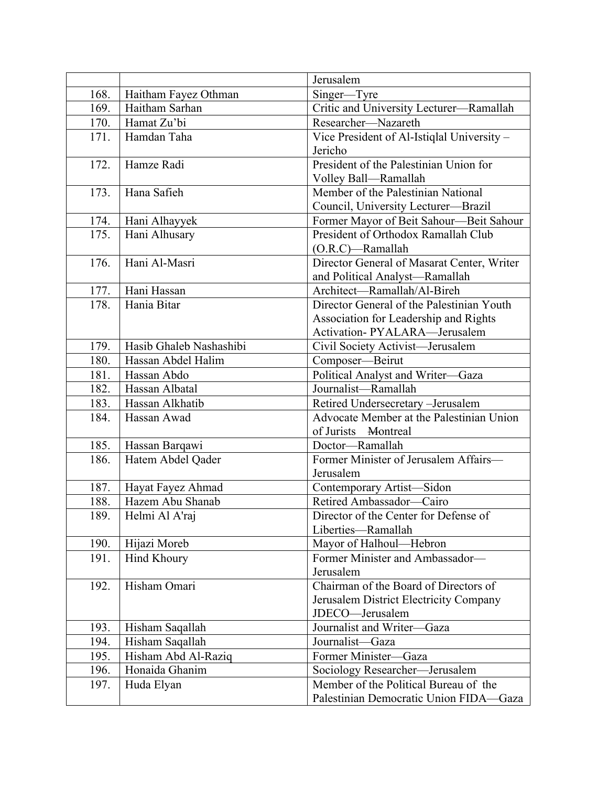|      |                         | Jerusalem                                                                     |
|------|-------------------------|-------------------------------------------------------------------------------|
| 168. | Haitham Fayez Othman    | Singer-Tyre                                                                   |
| 169. | Haitham Sarhan          | Critic and University Lecturer-Ramallah                                       |
| 170. | Hamat Zu'bi             | Researcher-Nazareth                                                           |
| 171. | Hamdan Taha             | Vice President of Al-Istiqlal University -                                    |
|      |                         | Jericho                                                                       |
| 172. | Hamze Radi              | President of the Palestinian Union for                                        |
|      |                         | Volley Ball-Ramallah                                                          |
| 173. | Hana Safieh             | Member of the Palestinian National                                            |
|      |                         | Council, University Lecturer-Brazil                                           |
| 174. | Hani Alhayyek           | Former Mayor of Beit Sahour-Beit Sahour                                       |
| 175. | Hani Alhusary           | President of Orthodox Ramallah Club                                           |
|      |                         | (O.R.C)-Ramallah                                                              |
| 176. | Hani Al-Masri           | Director General of Masarat Center, Writer                                    |
| 177. | Hani Hassan             | and Political Analyst-Ramallah<br>Architect-Ramallah/Al-Bireh                 |
| 178. | Hania Bitar             | Director General of the Palestinian Youth                                     |
|      |                         |                                                                               |
|      |                         | Association for Leadership and Rights<br><b>Activation- PYALARA—Jerusalem</b> |
|      |                         |                                                                               |
| 179. | Hasib Ghaleb Nashashibi | Civil Society Activist-Jerusalem                                              |
| 180. | Hassan Abdel Halim      | Composer-Beirut                                                               |
| 181. | Hassan Abdo             | Political Analyst and Writer-Gaza                                             |
| 182. | Hassan Albatal          | Journalist-Ramallah                                                           |
| 183. | Hassan Alkhatib         | Retired Undersecretary -Jerusalem                                             |
| 184. | Hassan Awad             | Advocate Member at the Palestinian Union                                      |
|      |                         | of Jurists Montreal                                                           |
| 185. | Hassan Barqawi          | Doctor-Ramallah                                                               |
| 186. | Hatem Abdel Qader       | Former Minister of Jerusalem Affairs-                                         |
|      |                         | Jerusalem                                                                     |
| 187. | Hayat Fayez Ahmad       | Contemporary Artist-Sidon                                                     |
| 188. | Hazem Abu Shanab        | Retired Ambassador-Cairo                                                      |
| 189. | Helmi Al A'raj          | Director of the Center for Defense of                                         |
|      |                         | Liberties-Ramallah                                                            |
| 190. | Hijazi Moreb            | Mayor of Halhoul-Hebron                                                       |
| 191. | <b>Hind Khoury</b>      | Former Minister and Ambassador-                                               |
|      |                         | Jerusalem                                                                     |
| 192. | Hisham Omari            | Chairman of the Board of Directors of                                         |
|      |                         | Jerusalem District Electricity Company                                        |
|      |                         | JDECO-Jerusalem                                                               |
| 193. | Hisham Saqallah         | Journalist and Writer-Gaza                                                    |
| 194. | Hisham Saqallah         | Journalist-Gaza                                                               |
| 195. | Hisham Abd Al-Raziq     | Former Minister-Gaza                                                          |
| 196. | Honaida Ghanim          | Sociology Researcher-Jerusalem                                                |
| 197. | Huda Elyan              | Member of the Political Bureau of the                                         |
|      |                         | Palestinian Democratic Union FIDA-Gaza                                        |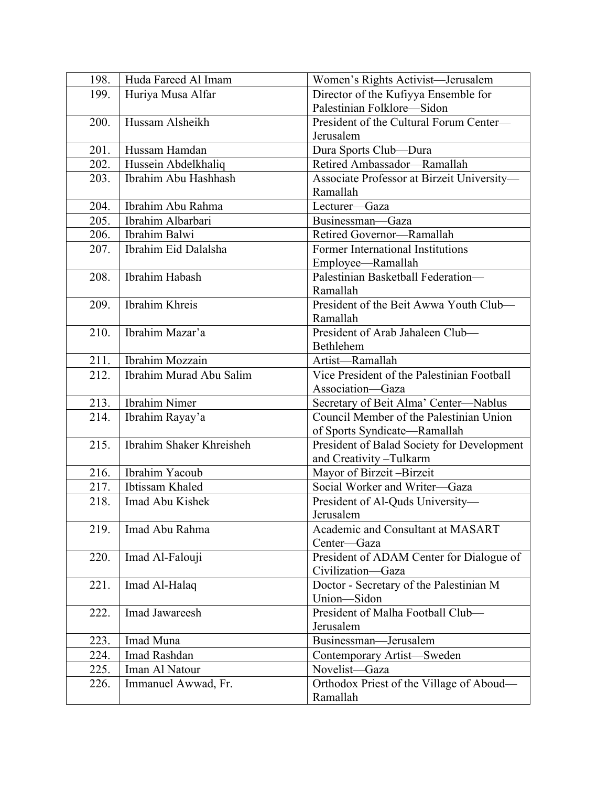| 198. | Huda Fareed Al Imam      | Women's Rights Activist-Jerusalem          |
|------|--------------------------|--------------------------------------------|
| 199. | Huriya Musa Alfar        | Director of the Kufiyya Ensemble for       |
|      |                          | Palestinian Folklore-Sidon                 |
| 200. | Hussam Alsheikh          | President of the Cultural Forum Center-    |
|      |                          | Jerusalem                                  |
| 201. | Hussam Hamdan            | Dura Sports Club-Dura                      |
| 202. | Hussein Abdelkhaliq      | Retired Ambassador-Ramallah                |
| 203. | Ibrahim Abu Hashhash     | Associate Professor at Birzeit University- |
|      |                          | Ramallah                                   |
| 204. | Ibrahim Abu Rahma        | Lecturer-Gaza                              |
| 205. | Ibrahim Albarbari        | Businessman-Gaza                           |
| 206. | Ibrahim Balwi            | Retired Governor-Ramallah                  |
| 207. | Ibrahim Eid Dalalsha     | Former International Institutions          |
|      |                          | Employee-Ramallah                          |
| 208. | <b>Ibrahim</b> Habash    | Palestinian Basketball Federation-         |
|      |                          | Ramallah                                   |
| 209. | Ibrahim Khreis           | President of the Beit Awwa Youth Club-     |
|      |                          | Ramallah                                   |
| 210. | Ibrahim Mazar'a          | President of Arab Jahaleen Club-           |
|      |                          | Bethlehem                                  |
| 211. | <b>Ibrahim Mozzain</b>   | Artist-Ramallah                            |
| 212. | Ibrahim Murad Abu Salim  | Vice President of the Palestinian Football |
|      |                          | Association-Gaza                           |
| 213. | <b>Ibrahim Nimer</b>     | Secretary of Beit Alma' Center-Nablus      |
| 214. | Ibrahim Rayay'a          | Council Member of the Palestinian Union    |
|      |                          | of Sports Syndicate-Ramallah               |
| 215. | Ibrahim Shaker Khreisheh | President of Balad Society for Development |
|      |                          | and Creativity-Tulkarm                     |
| 216. | Ibrahim Yacoub           | Mayor of Birzeit-Birzeit                   |
| 217. | Ibtissam Khaled          | Social Worker and Writer-Gaza              |
| 218. | Imad Abu Kishek          | President of Al-Quds University-           |
|      |                          | Jerusalem                                  |
| 219. | Imad Abu Rahma           | Academic and Consultant at MASART          |
|      |                          | Center-Gaza                                |
| 220. | Imad Al-Falouji          | President of ADAM Center for Dialogue of   |
|      |                          | Civilization-Gaza                          |
| 221. | Imad Al-Halaq            | Doctor - Secretary of the Palestinian M    |
|      |                          | Union-Sidon                                |
| 222. | Imad Jawareesh           | President of Malha Football Club-          |
|      |                          | Jerusalem                                  |
| 223. | Imad Muna                | Businessman-Jerusalem                      |
| 224. | Imad Rashdan             | Contemporary Artist-Sweden                 |
| 225. | Iman Al Natour           | Novelist-Gaza                              |
| 226. | Immanuel Awwad, Fr.      | Orthodox Priest of the Village of Aboud—   |
|      |                          | Ramallah                                   |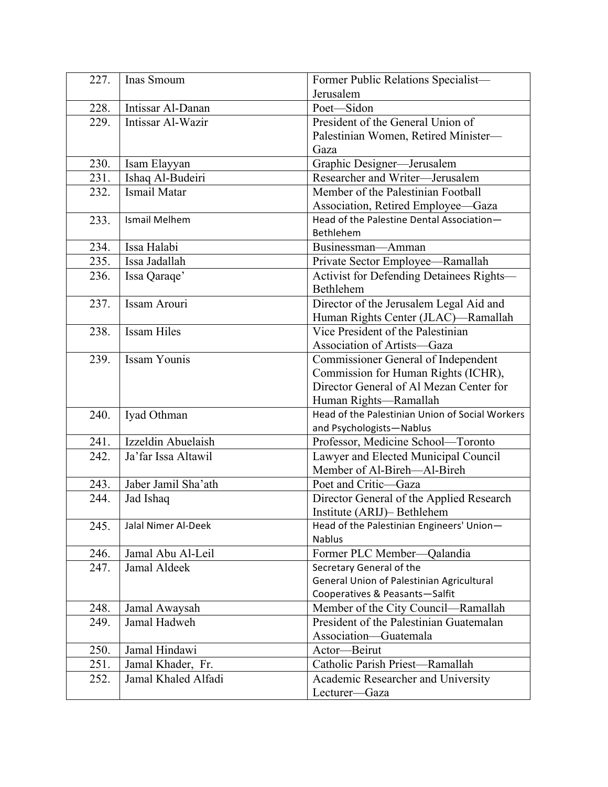| 227. | Inas Smoum                 | Former Public Relations Specialist-                                      |
|------|----------------------------|--------------------------------------------------------------------------|
|      |                            | Jerusalem                                                                |
| 228. | Intissar Al-Danan          | Poet-Sidon                                                               |
| 229. | Intissar Al-Wazir          | President of the General Union of                                        |
|      |                            | Palestinian Women, Retired Minister-                                     |
|      |                            | Gaza                                                                     |
| 230. | Isam Elayyan               | Graphic Designer-Jerusalem                                               |
| 231. | Ishaq Al-Budeiri           | Researcher and Writer-Jerusalem                                          |
| 232. | Ismail Matar               | Member of the Palestinian Football                                       |
|      |                            | Association, Retired Employee-Gaza                                       |
| 233. | <b>Ismail Melhem</b>       | Head of the Palestine Dental Association-                                |
|      |                            | Bethlehem                                                                |
| 234. | Issa Halabi                | Businessman-Amman                                                        |
| 235. | Issa Jadallah              | Private Sector Employee-Ramallah                                         |
| 236. | Issa Qaraqe'               | Activist for Defending Detainees Rights-                                 |
|      |                            | Bethlehem                                                                |
| 237. | Issam Arouri               | Director of the Jerusalem Legal Aid and                                  |
| 238. | <b>Issam Hiles</b>         | Human Rights Center (JLAC)-Ramallah<br>Vice President of the Palestinian |
|      |                            | Association of Artists-Gaza                                              |
| 239. | <b>Issam Younis</b>        | Commissioner General of Independent                                      |
|      |                            | Commission for Human Rights (ICHR),                                      |
|      |                            | Director General of Al Mezan Center for                                  |
|      |                            | Human Rights-Ramallah                                                    |
| 240. | Iyad Othman                | Head of the Palestinian Union of Social Workers                          |
|      |                            | and Psychologists-Nablus                                                 |
| 241. | Izzeldin Abuelaish         | Professor, Medicine School-Toronto                                       |
| 242. | Ja'far Issa Altawil        | Lawyer and Elected Municipal Council                                     |
|      |                            | Member of Al-Bireh-Al-Bireh                                              |
| 243. | Jaber Jamil Sha'ath        | Poet and Critic-Gaza                                                     |
| 244. | Jad Ishaq                  | Director General of the Applied Research                                 |
|      |                            | Institute (ARIJ) - Bethlehem                                             |
| 245. | <b>Jalal Nimer Al-Deek</b> | Head of the Palestinian Engineers' Union-                                |
|      |                            | Nablus                                                                   |
| 246. | Jamal Abu Al-Leil          | Former PLC Member-Qalandia                                               |
| 247. | Jamal Aldeek               | Secretary General of the                                                 |
|      |                            | General Union of Palestinian Agricultural                                |
|      |                            | Cooperatives & Peasants-Salfit                                           |
| 248. | Jamal Awaysah              | Member of the City Council—Ramallah                                      |
| 249. | Jamal Hadweh               | President of the Palestinian Guatemalan                                  |
|      |                            | Association-Guatemala                                                    |
| 250. | Jamal Hindawi              | Actor-Beirut                                                             |
| 251. | Jamal Khader, Fr.          | Catholic Parish Priest-Ramallah                                          |
| 252. | Jamal Khaled Alfadi        | Academic Researcher and University<br>Lecturer-Gaza                      |
|      |                            |                                                                          |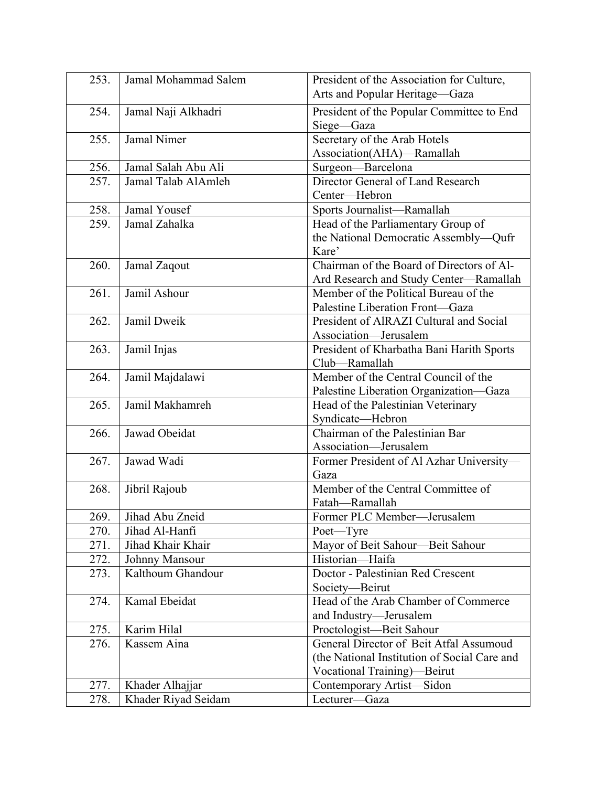| 253. | Jamal Mohammad Salem | President of the Association for Culture,               |
|------|----------------------|---------------------------------------------------------|
|      |                      | Arts and Popular Heritage-Gaza                          |
| 254. | Jamal Naji Alkhadri  | President of the Popular Committee to End<br>Siege-Gaza |
| 255. | Jamal Nimer          | Secretary of the Arab Hotels                            |
|      |                      | Association(AHA)-Ramallah                               |
| 256. | Jamal Salah Abu Ali  | Surgeon-Barcelona                                       |
| 257. | Jamal Talab AlAmleh  | Director General of Land Research                       |
|      |                      | Center-Hebron                                           |
| 258. | Jamal Yousef         | Sports Journalist-Ramallah                              |
| 259. | Jamal Zahalka        | Head of the Parliamentary Group of                      |
|      |                      | the National Democratic Assembly-Qufr                   |
|      |                      | Kare'                                                   |
| 260. | Jamal Zaqout         | Chairman of the Board of Directors of Al-               |
|      |                      | Ard Research and Study Center-Ramallah                  |
| 261. | Jamil Ashour         | Member of the Political Bureau of the                   |
|      |                      | Palestine Liberation Front-Gaza                         |
| 262. | Jamil Dweik          | President of AlRAZI Cultural and Social                 |
|      |                      | Association-Jerusalem                                   |
| 263. | Jamil Injas          | President of Kharbatha Bani Harith Sports               |
|      |                      | Club-Ramallah                                           |
| 264. | Jamil Majdalawi      | Member of the Central Council of the                    |
|      |                      | Palestine Liberation Organization-Gaza                  |
| 265. | Jamil Makhamreh      | Head of the Palestinian Veterinary                      |
|      |                      | Syndicate-Hebron                                        |
| 266. | Jawad Obeidat        | Chairman of the Palestinian Bar                         |
|      |                      | Association-Jerusalem                                   |
| 267. | Jawad Wadi           | Former President of Al Azhar University-                |
|      |                      | Gaza                                                    |
| 268. | Jibril Rajoub        | Member of the Central Committee of                      |
|      |                      | Fatah-Ramallah                                          |
| 269. | Jihad Abu Zneid      | Former PLC Member—Jerusalem                             |
| 270. | Jihad Al-Hanfi       | Poet-Tyre                                               |
| 271. | Jihad Khair Khair    | Mayor of Beit Sahour-Beit Sahour                        |
| 272. | Johnny Mansour       | Historian-Haifa                                         |
| 273. | Kalthoum Ghandour    | Doctor - Palestinian Red Crescent                       |
|      |                      | Society-Beirut                                          |
| 274. | Kamal Ebeidat        | Head of the Arab Chamber of Commerce                    |
|      |                      | and Industry-Jerusalem                                  |
| 275. | Karim Hilal          | Proctologist-Beit Sahour                                |
| 276. | Kassem Aina          | General Director of Beit Atfal Assumoud                 |
|      |                      | (the National Institution of Social Care and            |
|      |                      | Vocational Training)—Beirut                             |
| 277. | Khader Alhajjar      | Contemporary Artist-Sidon                               |
| 278. | Khader Riyad Seidam  | Lecturer-Gaza                                           |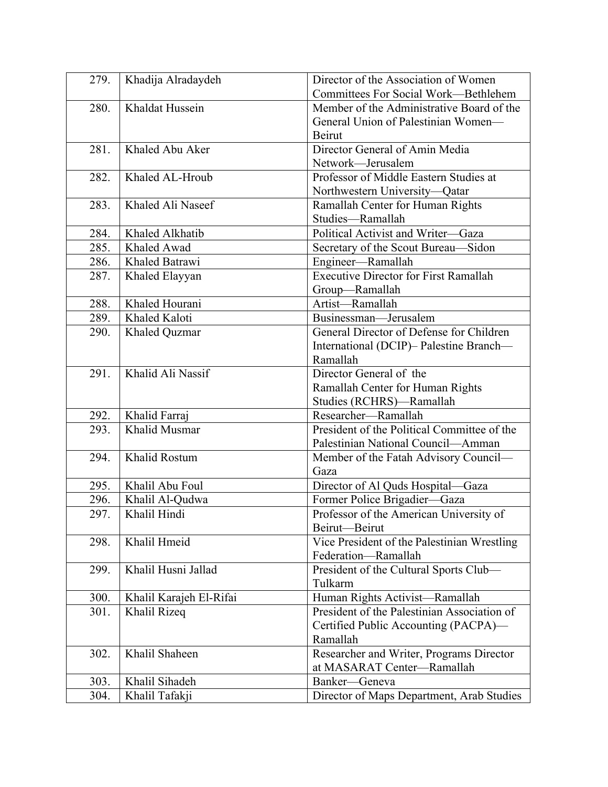| 279. | Khadija Alradaydeh      | Director of the Association of Women         |
|------|-------------------------|----------------------------------------------|
|      |                         | Committees For Social Work-Bethlehem         |
| 280. | Khaldat Hussein         | Member of the Administrative Board of the    |
|      |                         | General Union of Palestinian Women-          |
|      |                         | Beirut                                       |
| 281. | Khaled Abu Aker         | Director General of Amin Media               |
|      |                         | Network-Jerusalem                            |
| 282. | Khaled AL-Hroub         | Professor of Middle Eastern Studies at       |
|      |                         | Northwestern University-Qatar                |
| 283. | Khaled Ali Naseef       | Ramallah Center for Human Rights             |
|      |                         | Studies-Ramallah                             |
| 284. | Khaled Alkhatib         | Political Activist and Writer-Gaza           |
| 285. | Khaled Awad             | Secretary of the Scout Bureau-Sidon          |
| 286. | Khaled Batrawi          | Engineer-Ramallah                            |
| 287. | Khaled Elayyan          | <b>Executive Director for First Ramallah</b> |
|      |                         | Group-Ramallah                               |
| 288. | Khaled Hourani          | Artist-Ramallah                              |
| 289. | Khaled Kaloti           | Businessman-Jerusalem                        |
| 290. | Khaled Quzmar           | General Director of Defense for Children     |
|      |                         | International (DCIP)- Palestine Branch-      |
|      |                         | Ramallah                                     |
| 291. | Khalid Ali Nassif       | Director General of the                      |
|      |                         | Ramallah Center for Human Rights             |
|      |                         | Studies (RCHRS)-Ramallah                     |
| 292. | Khalid Farraj           | Researcher-Ramallah                          |
| 293. | Khalid Musmar           | President of the Political Committee of the  |
|      |                         | Palestinian National Council-Amman           |
| 294. | Khalid Rostum           | Member of the Fatah Advisory Council-        |
|      |                         | Gaza                                         |
| 295. | Khalil Abu Foul         | Director of Al Quds Hospital-Gaza            |
| 296. | Khalil Al-Qudwa         | Former Police Brigadier-Gaza                 |
| 297  | Khalil Hindi            | Professor of the American University of      |
|      |                         | Beirut-Beirut                                |
| 298. | Khalil Hmeid            | Vice President of the Palestinian Wrestling  |
|      |                         | Federation-Ramallah                          |
| 299. | Khalil Husni Jallad     | President of the Cultural Sports Club-       |
|      |                         | Tulkarm                                      |
| 300. | Khalil Karajeh El-Rifai | Human Rights Activist-Ramallah               |
| 301. | Khalil Rizeq            | President of the Palestinian Association of  |
|      |                         | Certified Public Accounting (PACPA)—         |
|      |                         | Ramallah                                     |
| 302. | Khalil Shaheen          | Researcher and Writer, Programs Director     |
|      |                         | at MASARAT Center-Ramallah                   |
| 303. | Khalil Sihadeh          | Banker-Geneva                                |
| 304. | Khalil Tafakji          | Director of Maps Department, Arab Studies    |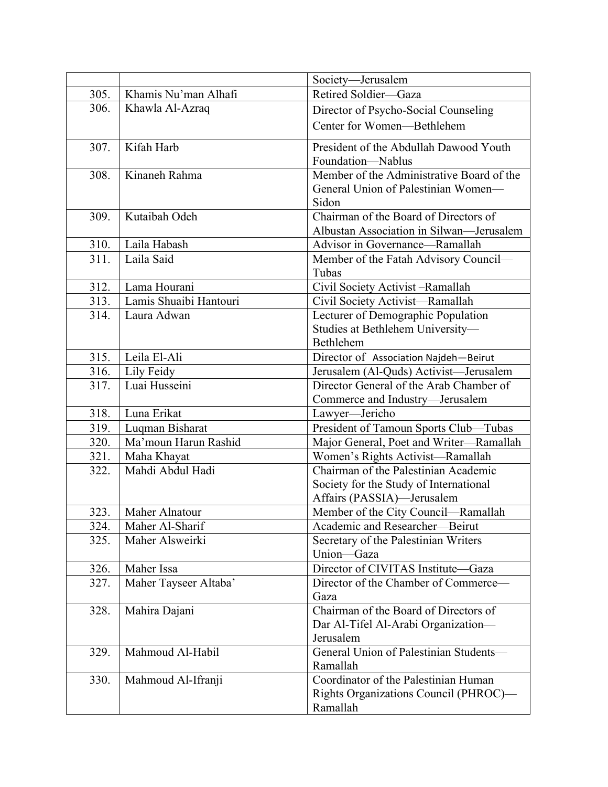|      |                        | Society-Jerusalem                                                                |
|------|------------------------|----------------------------------------------------------------------------------|
| 305. | Khamis Nu'man Alhafi   | Retired Soldier-Gaza                                                             |
| 306. | Khawla Al-Azraq        | Director of Psycho-Social Counseling                                             |
|      |                        | Center for Women-Bethlehem                                                       |
| 307. | Kifah Harb             | President of the Abdullah Dawood Youth<br>Foundation-Nablus                      |
| 308. | Kinaneh Rahma          | Member of the Administrative Board of the<br>General Union of Palestinian Women- |
|      |                        | Sidon                                                                            |
| 309. | Kutaibah Odeh          | Chairman of the Board of Directors of                                            |
|      |                        | Albustan Association in Silwan—Jerusalem                                         |
| 310. | Laila Habash           | Advisor in Governance-Ramallah                                                   |
| 311. | Laila Said             | Member of the Fatah Advisory Council-<br>Tubas                                   |
| 312. | Lama Hourani           | Civil Society Activist -Ramallah                                                 |
| 313. | Lamis Shuaibi Hantouri | Civil Society Activist-Ramallah                                                  |
| 314. | Laura Adwan            | Lecturer of Demographic Population                                               |
|      |                        | Studies at Bethlehem University-                                                 |
|      |                        | Bethlehem                                                                        |
| 315. | Leila El-Ali           | Director of Association Najdeh-Beirut                                            |
| 316. | Lily Feidy             | Jerusalem (Al-Quds) Activist—Jerusalem                                           |
| 317. | Luai Husseini          | Director General of the Arab Chamber of                                          |
|      |                        | Commerce and Industry-Jerusalem                                                  |
| 318. | Luna Erikat            | Lawyer-Jericho                                                                   |
| 319. | Luqman Bisharat        | President of Tamoun Sports Club-Tubas                                            |
| 320. | Ma'moun Harun Rashid   | Major General, Poet and Writer-Ramallah                                          |
| 321. | Maha Khayat            | Women's Rights Activist-Ramallah<br>Chairman of the Palestinian Academic         |
| 322. | Mahdi Abdul Hadi       |                                                                                  |
|      |                        | Society for the Study of International                                           |
| 323. | Maher Alnatour         | Affairs (PASSIA)-Jerusalem<br>Member of the City Council-Ramallah                |
| 324. | Maher Al-Sharif        | Academic and Researcher-Beirut                                                   |
| 325. | Maher Alsweirki        | Secretary of the Palestinian Writers                                             |
|      |                        | Union-Gaza                                                                       |
| 326. | Maher Issa             | Director of CIVITAS Institute-Gaza                                               |
| 327. | Maher Tayseer Altaba'  | Director of the Chamber of Commerce-<br>Gaza                                     |
| 328. | Mahira Dajani          | Chairman of the Board of Directors of                                            |
|      |                        | Dar Al-Tifel Al-Arabi Organization-                                              |
|      |                        | Jerusalem                                                                        |
| 329. | Mahmoud Al-Habil       | General Union of Palestinian Students-                                           |
|      |                        | Ramallah                                                                         |
| 330. | Mahmoud Al-Ifranji     | Coordinator of the Palestinian Human                                             |
|      |                        | Rights Organizations Council (PHROC)-                                            |
|      |                        | Ramallah                                                                         |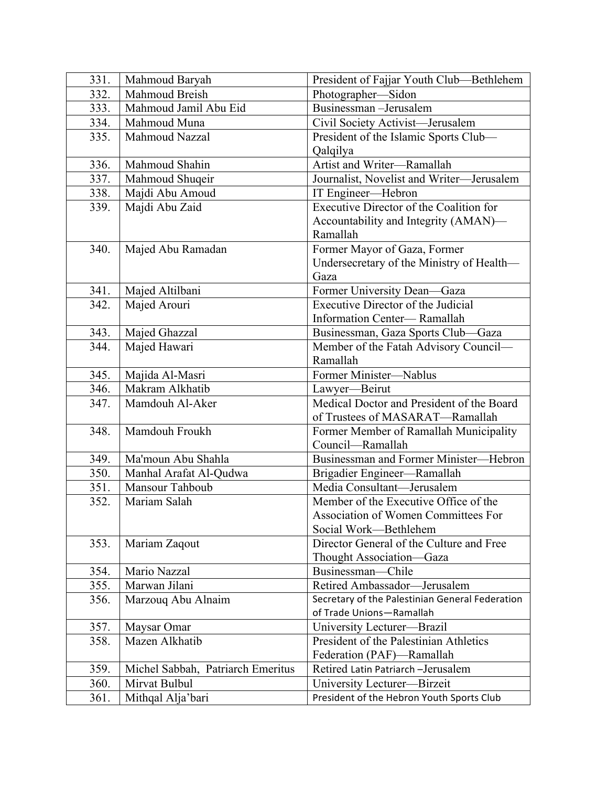| 331.         | Mahmoud Baryah                            | President of Fajjar Youth Club—Bethlehem                  |
|--------------|-------------------------------------------|-----------------------------------------------------------|
| 332.         | Mahmoud Breish                            | Photographer-Sidon                                        |
| 333.         | Mahmoud Jamil Abu Eid                     | Businessman-Jerusalem                                     |
| 334.         | Mahmoud Muna                              | Civil Society Activist-Jerusalem                          |
| 335.         | Mahmoud Nazzal                            | President of the Islamic Sports Club-                     |
|              |                                           | Qalqilya                                                  |
| 336.         | Mahmoud Shahin                            | Artist and Writer-Ramallah                                |
| 337.         | Mahmoud Shuqeir                           | Journalist, Novelist and Writer-Jerusalem                 |
| 338.         | Majdi Abu Amoud                           | IT Engineer—Hebron                                        |
| 339.         | Majdi Abu Zaid                            | Executive Director of the Coalition for                   |
|              |                                           | Accountability and Integrity (AMAN)—                      |
|              |                                           | Ramallah                                                  |
| 340.         | Majed Abu Ramadan                         | Former Mayor of Gaza, Former                              |
|              |                                           | Undersecretary of the Ministry of Health—                 |
|              |                                           | Gaza                                                      |
| 341.         | Majed Altilbani                           | Former University Dean-Gaza                               |
| 342.         | Majed Arouri                              | <b>Executive Director of the Judicial</b>                 |
|              |                                           | Information Center-Ramallah                               |
| 343.         | Majed Ghazzal                             | Businessman, Gaza Sports Club-Gaza                        |
| 344.         | Majed Hawari                              | Member of the Fatah Advisory Council-                     |
|              |                                           | Ramallah                                                  |
| 345.         | Majida Al-Masri                           | Former Minister-Nablus                                    |
| 346.         | Makram Alkhatib                           | Lawyer-Beirut                                             |
| 347.         | Mamdouh Al-Aker                           | Medical Doctor and President of the Board                 |
|              |                                           | of Trustees of MASARAT-Ramallah                           |
| 348.         | Mamdouh Froukh                            | Former Member of Ramallah Municipality                    |
|              |                                           | Council-Ramallah                                          |
| 349.         | Ma'moun Abu Shahla                        | Businessman and Former Minister-Hebron                    |
| 350.<br>351. | Manhal Arafat Al-Qudwa<br>Mansour Tahboub | Brigadier Engineer-Ramallah<br>Media Consultant-Jerusalem |
| 352.         | Mariam Salah                              | Member of the Executive Office of the                     |
|              |                                           | Association of Women Committees For                       |
|              |                                           | Social Work-Bethlehem                                     |
| 353.         | Mariam Zaqout                             | Director General of the Culture and Free                  |
|              |                                           | Thought Association-Gaza                                  |
| 354.         | Mario Nazzal                              | Businessman-Chile                                         |
| 355.         | Marwan Jilani                             | Retired Ambassador-Jerusalem                              |
| 356.         | Marzouq Abu Alnaim                        | Secretary of the Palestinian General Federation           |
|              |                                           | of Trade Unions-Ramallah                                  |
| 357.         | Maysar Omar                               | University Lecturer-Brazil                                |
| 358.         | Mazen Alkhatib                            | President of the Palestinian Athletics                    |
|              |                                           | Federation (PAF)-Ramallah                                 |
| 359.         | Michel Sabbah, Patriarch Emeritus         | Retired Latin Patriarch -Jerusalem                        |
| 360.         | Mirvat Bulbul                             | University Lecturer-Birzeit                               |
| 361.         | Mithqal Alja'bari                         | President of the Hebron Youth Sports Club                 |
|              |                                           |                                                           |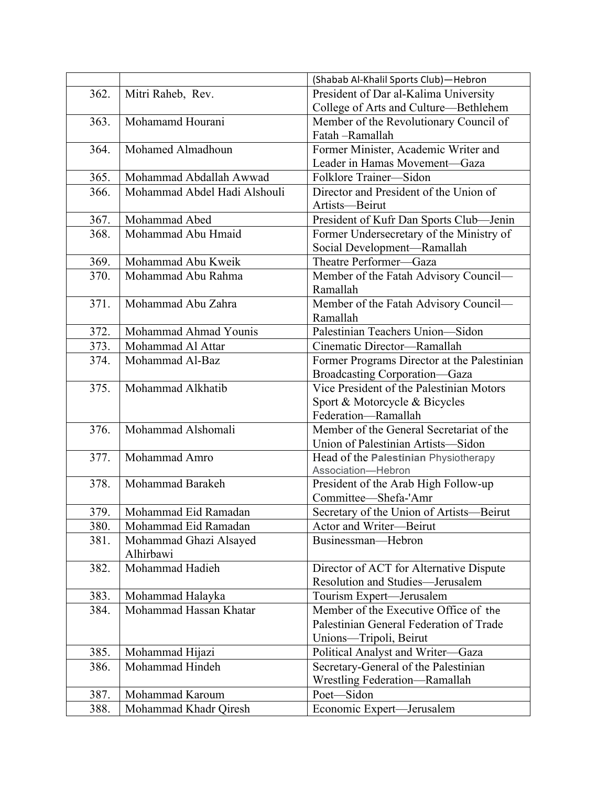|      |                              | (Shabab Al-Khalil Sports Club)-Hebron       |
|------|------------------------------|---------------------------------------------|
| 362. | Mitri Raheb, Rev.            | President of Dar al-Kalima University       |
|      |                              | College of Arts and Culture-Bethlehem       |
| 363. | Mohamamd Hourani             | Member of the Revolutionary Council of      |
|      |                              | Fatah -Ramallah                             |
| 364. | Mohamed Almadhoun            | Former Minister, Academic Writer and        |
|      |                              | Leader in Hamas Movement-Gaza               |
| 365. | Mohammad Abdallah Awwad      | Folklore Trainer-Sidon                      |
| 366. | Mohammad Abdel Hadi Alshouli | Director and President of the Union of      |
|      |                              | Artists-Beirut                              |
| 367. | Mohammad Abed                | President of Kufr Dan Sports Club-Jenin     |
| 368. | Mohammad Abu Hmaid           | Former Undersecretary of the Ministry of    |
|      |                              | Social Development-Ramallah                 |
| 369. | Mohammad Abu Kweik           | Theatre Performer-Gaza                      |
| 370. | Mohammad Abu Rahma           | Member of the Fatah Advisory Council-       |
|      |                              | Ramallah                                    |
| 371. | Mohammad Abu Zahra           | Member of the Fatah Advisory Council-       |
|      |                              | Ramallah                                    |
| 372. | Mohammad Ahmad Younis        | Palestinian Teachers Union-Sidon            |
| 373. | Mohammad Al Attar            | Cinematic Director-Ramallah                 |
| 374. | Mohammad Al-Baz              | Former Programs Director at the Palestinian |
|      |                              | Broadcasting Corporation-Gaza               |
| 375. | Mohammad Alkhatib            | Vice President of the Palestinian Motors    |
|      |                              | Sport & Motorcycle & Bicycles               |
|      |                              | Federation-Ramallah                         |
| 376. | Mohammad Alshomali           | Member of the General Secretariat of the    |
|      |                              | Union of Palestinian Artists-Sidon          |
| 377. | Mohammad Amro                | Head of the Palestinian Physiotherapy       |
|      |                              | Association-Hebron                          |
| 378. | Mohammad Barakeh             | President of the Arab High Follow-up        |
|      |                              | Committee-Shefa-'Amr                        |
| 379. | Mohammad Eid Ramadan         | Secretary of the Union of Artists-Beirut    |
| 380. | Mohammad Eid Ramadan         | Actor and Writer-Beirut                     |
| 381. | Mohammad Ghazi Alsayed       | Businessman-Hebron                          |
|      | Alhirbawi                    |                                             |
| 382. | Mohammad Hadieh              | Director of ACT for Alternative Dispute     |
|      |                              | Resolution and Studies-Jerusalem            |
| 383. | Mohammad Halayka             | Tourism Expert—Jerusalem                    |
| 384. | Mohammad Hassan Khatar       | Member of the Executive Office of the       |
|      |                              | Palestinian General Federation of Trade     |
|      |                              | Unions-Tripoli, Beirut                      |
| 385. | Mohammad Hijazi              | Political Analyst and Writer-Gaza           |
| 386. | Mohammad Hindeh              | Secretary-General of the Palestinian        |
|      |                              | Wrestling Federation-Ramallah               |
| 387. | Mohammad Karoum              | Poet-Sidon                                  |
| 388. | Mohammad Khadr Qiresh        | Economic Expert-Jerusalem                   |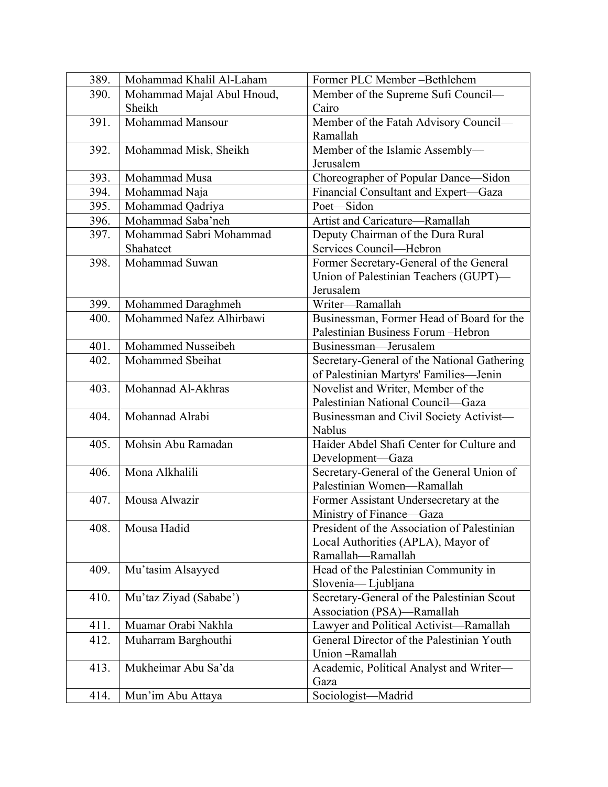| 389. | Mohammad Khalil Al-Laham   | Former PLC Member-Bethlehem                 |
|------|----------------------------|---------------------------------------------|
| 390. | Mohammad Majal Abul Hnoud, | Member of the Supreme Sufi Council-         |
|      | Sheikh                     | Cairo                                       |
| 391. | Mohammad Mansour           | Member of the Fatah Advisory Council-       |
|      |                            | Ramallah                                    |
| 392. | Mohammad Misk, Sheikh      | Member of the Islamic Assembly-             |
|      |                            | Jerusalem                                   |
| 393. | Mohammad Musa              | Choreographer of Popular Dance-Sidon        |
| 394. | Mohammad Naja              | Financial Consultant and Expert-Gaza        |
| 395. | Mohammad Qadriya           | Poet-Sidon                                  |
| 396. | Mohammad Saba'neh          | Artist and Caricature-Ramallah              |
| 397. | Mohammad Sabri Mohammad    | Deputy Chairman of the Dura Rural           |
|      | Shahateet                  | Services Council—Hebron                     |
| 398. | Mohammad Suwan             | Former Secretary-General of the General     |
|      |                            | Union of Palestinian Teachers (GUPT)-       |
|      |                            | Jerusalem                                   |
| 399. | Mohammed Daraghmeh         | Writer-Ramallah                             |
| 400. | Mohammed Nafez Alhirbawi   | Businessman, Former Head of Board for the   |
|      |                            | Palestinian Business Forum - Hebron         |
| 401. | Mohammed Nusseibeh         | Businessman-Jerusalem                       |
| 402. | Mohammed Sbeihat           | Secretary-General of the National Gathering |
|      |                            | of Palestinian Martyrs' Families-Jenin      |
| 403. | Mohannad Al-Akhras         | Novelist and Writer, Member of the          |
|      |                            | Palestinian National Council-Gaza           |
| 404. | Mohannad Alrabi            | Businessman and Civil Society Activist-     |
|      |                            | <b>Nablus</b>                               |
| 405. | Mohsin Abu Ramadan         | Haider Abdel Shafi Center for Culture and   |
|      |                            | Development-Gaza                            |
| 406. | Mona Alkhalili             | Secretary-General of the General Union of   |
|      |                            | Palestinian Women-Ramallah                  |
| 407. | Mousa Alwazir              | Former Assistant Undersecretary at the      |
|      |                            | Ministry of Finance—Gaza                    |
| 408. | Mousa Hadid                | President of the Association of Palestinian |
|      |                            | Local Authorities (APLA), Mayor of          |
|      |                            | Ramallah-Ramallah                           |
| 409. | Mu'tasim Alsayyed          | Head of the Palestinian Community in        |
|      |                            | Slovenia—Ljubljana                          |
| 410. | Mu'taz Ziyad (Sababe')     | Secretary-General of the Palestinian Scout  |
|      |                            | Association (PSA)-Ramallah                  |
| 411. | Muamar Orabi Nakhla        | Lawyer and Political Activist-Ramallah      |
| 412. | Muharram Barghouthi        | General Director of the Palestinian Youth   |
|      |                            | Union-Ramallah                              |
| 413. | Mukheimar Abu Sa'da        | Academic, Political Analyst and Writer-     |
|      |                            | Gaza                                        |
| 414. | Mun'im Abu Attaya          | Sociologist-Madrid                          |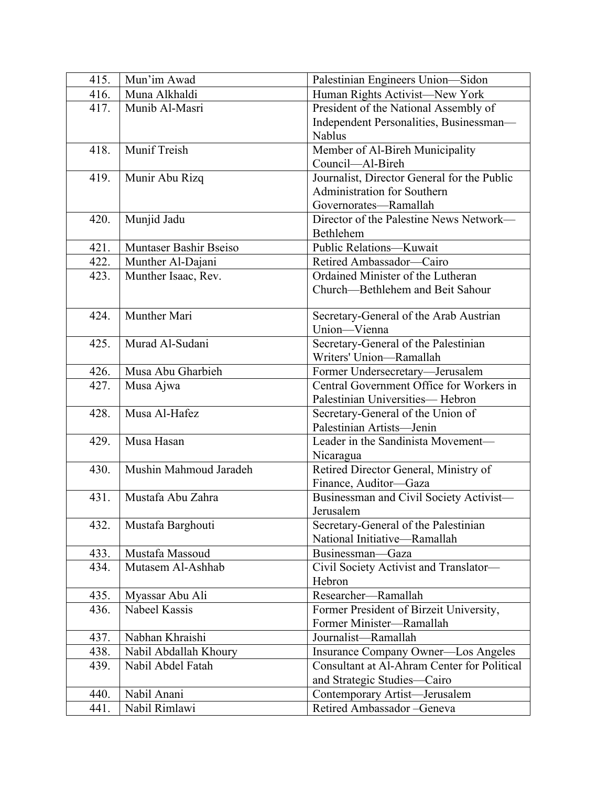| 415. | Mun'im Awad            | Palestinian Engineers Union—Sidon                               |
|------|------------------------|-----------------------------------------------------------------|
| 416. | Muna Alkhaldi          | Human Rights Activist-New York                                  |
| 417. | Munib Al-Masri         | President of the National Assembly of                           |
|      |                        | Independent Personalities, Businessman-                         |
|      |                        | Nablus                                                          |
| 418. | Munif Treish           | Member of Al-Bireh Municipality                                 |
|      |                        | Council-Al-Bireh                                                |
| 419. | Munir Abu Rizq         | Journalist, Director General for the Public                     |
|      |                        | Administration for Southern                                     |
|      |                        | Governorates-Ramallah                                           |
| 420. | Munjid Jadu            | Director of the Palestine News Network-                         |
|      |                        | Bethlehem                                                       |
| 421. | Muntaser Bashir Bseiso | Public Relations-Kuwait                                         |
| 422. | Munther Al-Dajani      | Retired Ambassador-Cairo                                        |
| 423. | Munther Isaac, Rev.    | Ordained Minister of the Lutheran                               |
|      |                        | Church-Bethlehem and Beit Sahour                                |
|      |                        |                                                                 |
| 424. | Munther Mari           | Secretary-General of the Arab Austrian                          |
|      |                        | Union-Vienna                                                    |
| 425. | Murad Al-Sudani        | Secretary-General of the Palestinian<br>Writers' Union-Ramallah |
|      |                        |                                                                 |
| 426. | Musa Abu Gharbieh      | Former Undersecretary-Jerusalem                                 |
| 427. | Musa Ajwa              | Central Government Office for Workers in                        |
| 428. | Musa Al-Hafez          | Palestinian Universities-Hebron                                 |
|      |                        | Secretary-General of the Union of<br>Palestinian Artists-Jenin  |
| 429. | Musa Hasan             | Leader in the Sandinista Movement-                              |
|      |                        | Nicaragua                                                       |
| 430. | Mushin Mahmoud Jaradeh | Retired Director General, Ministry of                           |
|      |                        | Finance, Auditor-Gaza                                           |
| 431. | Mustafa Abu Zahra      | Businessman and Civil Society Activist-                         |
|      |                        | Jerusalem                                                       |
| 432. | Mustafa Barghouti      | Secretary-General of the Palestinian                            |
|      |                        | National Initiative-Ramallah                                    |
| 433. | Mustafa Massoud        | Businessman-Gaza                                                |
| 434. | Mutasem Al-Ashhab      | Civil Society Activist and Translator-                          |
|      |                        | Hebron                                                          |
| 435. | Myassar Abu Ali        | Researcher-Ramallah                                             |
| 436. | Nabeel Kassis          | Former President of Birzeit University,                         |
|      |                        | Former Minister-Ramallah                                        |
| 437. | Nabhan Khraishi        | Journalist-Ramallah                                             |
| 438. | Nabil Abdallah Khoury  | Insurance Company Owner—Los Angeles                             |
| 439. | Nabil Abdel Fatah      | Consultant at Al-Ahram Center for Political                     |
|      |                        | and Strategic Studies-Cairo                                     |
|      |                        |                                                                 |
| 440. | Nabil Anani            | Contemporary Artist-Jerusalem                                   |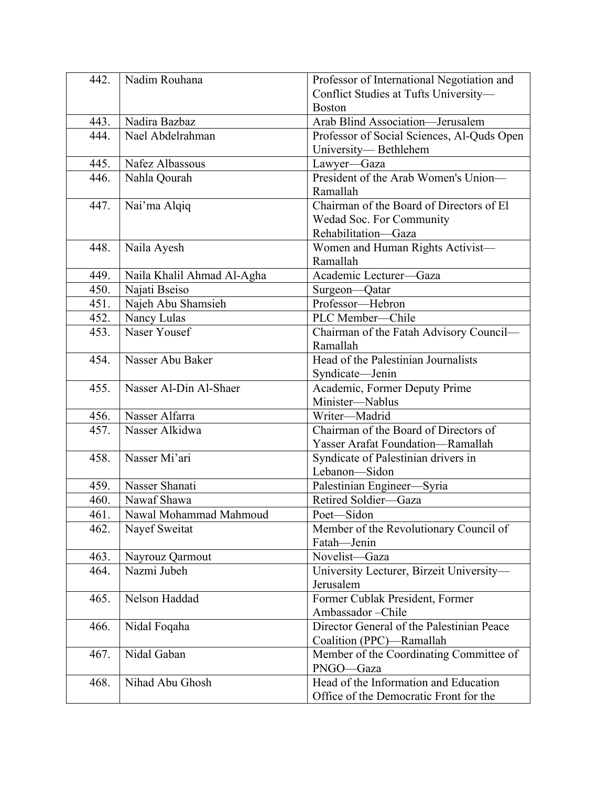| 442. | Nadim Rouhana              | Professor of International Negotiation and |
|------|----------------------------|--------------------------------------------|
|      |                            | Conflict Studies at Tufts University-      |
|      |                            | <b>Boston</b>                              |
| 443. | Nadira Bazbaz              | Arab Blind Association-Jerusalem           |
| 444. | Nael Abdelrahman           | Professor of Social Sciences, Al-Quds Open |
|      |                            | University-Bethlehem                       |
| 445. | Nafez Albassous            | Lawyer-Gaza                                |
| 446. | Nahla Qourah               | President of the Arab Women's Union-       |
|      |                            | Ramallah                                   |
| 447. | Nai'ma Alqiq               | Chairman of the Board of Directors of El   |
|      |                            | Wedad Soc. For Community                   |
|      |                            | Rehabilitation-Gaza                        |
| 448. | Naila Ayesh                | Women and Human Rights Activist-           |
|      |                            | Ramallah                                   |
| 449. | Naila Khalil Ahmad Al-Agha | Academic Lecturer-Gaza                     |
| 450. | Najati Bseiso              | Surgeon-Qatar                              |
| 451. | Najeh Abu Shamsieh         | Professor-Hebron                           |
| 452. | Nancy Lulas                | PLC Member-Chile                           |
| 453. | Naser Yousef               | Chairman of the Fatah Advisory Council-    |
|      |                            | Ramallah                                   |
| 454. | Nasser Abu Baker           | Head of the Palestinian Journalists        |
|      |                            | Syndicate-Jenin                            |
| 455. | Nasser Al-Din Al-Shaer     | Academic, Former Deputy Prime              |
|      |                            | Minister-Nablus                            |
| 456. | Nasser Alfarra             | Writer-Madrid                              |
| 457. | Nasser Alkidwa             | Chairman of the Board of Directors of      |
|      |                            | Yasser Arafat Foundation-Ramallah          |
| 458. | Nasser Mi'ari              | Syndicate of Palestinian drivers in        |
|      |                            | Lebanon-Sidon                              |
| 459. | Nasser Shanati             | Palestinian Engineer-Syria                 |
| 460. | Nawaf Shawa                | Retired Soldier-Gaza                       |
| 461  | Nawal Mohammad Mahmoud     | Poet-Sidon                                 |
| 462. | Nayef Sweitat              | Member of the Revolutionary Council of     |
|      |                            | Fatah-Jenin                                |
| 463. | Nayrouz Qarmout            | Novelist-Gaza                              |
| 464. | Nazmi Jubeh                | University Lecturer, Birzeit University-   |
|      |                            | Jerusalem                                  |
| 465. | Nelson Haddad              | Former Cublak President, Former            |
|      |                            | Ambassador-Chile                           |
| 466. | Nidal Foqaha               | Director General of the Palestinian Peace  |
|      |                            | Coalition (PPC)-Ramallah                   |
| 467. | Nidal Gaban                | Member of the Coordinating Committee of    |
|      |                            | PNGO-Gaza                                  |
| 468. | Nihad Abu Ghosh            | Head of the Information and Education      |
|      |                            | Office of the Democratic Front for the     |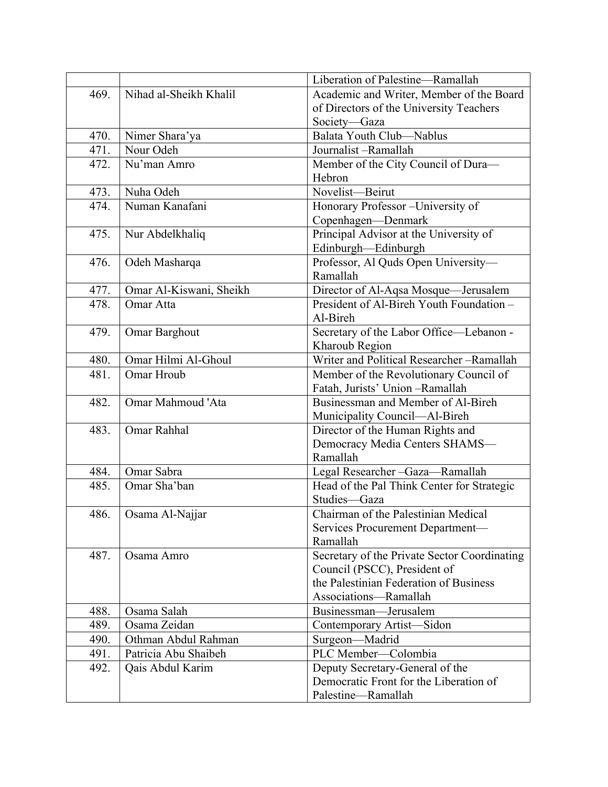|      |                             | Liberation of Palestine-Ramallah                                          |
|------|-----------------------------|---------------------------------------------------------------------------|
| 469. | Nihad al-Sheikh Khalil      | Academic and Writer, Member of the Board                                  |
|      |                             | of Directors of the University Teachers                                   |
|      |                             | Society-Gaza                                                              |
| 470. | Nimer Shara'ya              | Balata Youth Club-Nablus                                                  |
| 471. | Nour Odeh                   | Journalist-Ramallah                                                       |
| 472. | Nu'man Amro                 | Member of the City Council of Dura-                                       |
|      |                             | Hebron                                                                    |
| 473. | Nuha Odeh                   | Novelist-Beirut                                                           |
| 474. | Numan Kanafani              | Honorary Professor - University of                                        |
|      |                             | Copenhagen-Denmark                                                        |
| 475. | Nur Abdelkhaliq             | Principal Advisor at the University of                                    |
|      |                             | Edinburgh-Edinburgh                                                       |
| 476. | Odeh Masharqa               | Professor, Al Quds Open University-                                       |
|      |                             | Ramallah                                                                  |
| 477. | Omar Al-Kiswani, Sheikh     | Director of Al-Aqsa Mosque-Jerusalem                                      |
| 478. | Omar Atta                   | President of Al-Bireh Youth Foundation -                                  |
|      |                             | Al-Bireh                                                                  |
| 479. | Omar Barghout               | Secretary of the Labor Office-Lebanon -                                   |
|      |                             | Kharoub Region                                                            |
| 480. | Omar Hilmi Al-Ghoul         | Writer and Political Researcher-Ramallah                                  |
| 481. | Omar Hroub                  | Member of the Revolutionary Council of                                    |
|      |                             | Fatah, Jurists' Union-Ramallah                                            |
| 482. | Omar Mahmoud 'Ata           | Businessman and Member of Al-Bireh                                        |
|      |                             | Municipality Council-Al-Bireh                                             |
| 483. | Omar Rahhal                 | Director of the Human Rights and                                          |
|      |                             | Democracy Media Centers SHAMS-                                            |
|      |                             | Ramallah                                                                  |
| 484. | Omar Sabra                  | Legal Researcher-Gaza-Ramallah                                            |
| 485. | Omar Sha'ban                | Head of the Pal Think Center for Strategic                                |
|      |                             | Studies-Gaza                                                              |
| 486. | Osama Al-Najjar             | Chairman of the Palestinian Medical                                       |
|      |                             | Services Procurement Department-                                          |
|      |                             | Ramallah                                                                  |
| 487. | Osama Amro                  | Secretary of the Private Sector Coordinating                              |
|      |                             | Council (PSCC), President of                                              |
|      |                             | the Palestinian Federation of Business                                    |
|      |                             | Associations-Ramallah                                                     |
| 488. | Osama Salah<br>Osama Zeidan | Businessman-Jerusalem                                                     |
| 489. |                             | Contemporary Artist-Sidon                                                 |
| 490. | Othman Abdul Rahman         | Surgeon-Madrid<br>PLC Member-Colombia                                     |
| 491. | Patricia Abu Shaibeh        |                                                                           |
| 492. | Qais Abdul Karim            | Deputy Secretary-General of the<br>Democratic Front for the Liberation of |
|      |                             |                                                                           |
|      |                             | Palestine-Ramallah                                                        |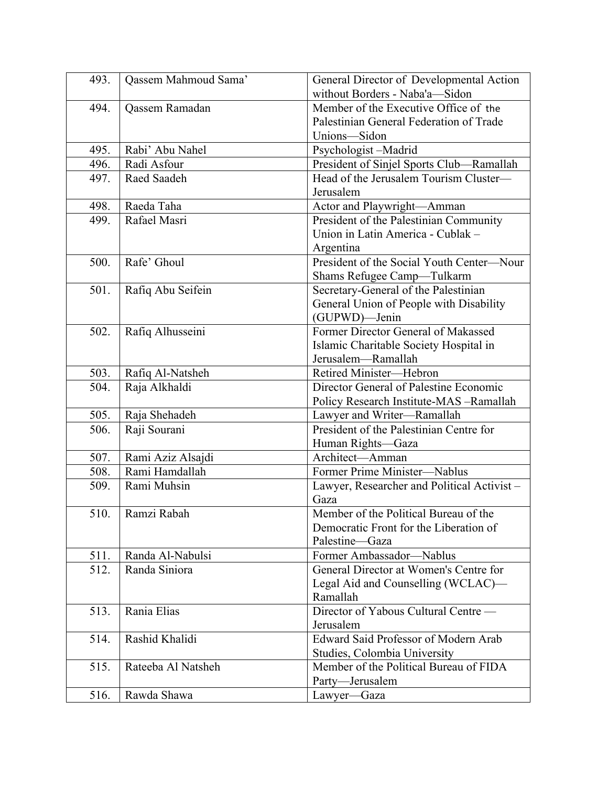| 493. | Qassem Mahmoud Sama'  | General Director of Developmental Action   |
|------|-----------------------|--------------------------------------------|
|      |                       | without Borders - Naba'a-Sidon             |
| 494. | <b>Qassem Ramadan</b> | Member of the Executive Office of the      |
|      |                       | Palestinian General Federation of Trade    |
|      |                       | Unions-Sidon                               |
| 495. | Rabi' Abu Nahel       | Psychologist-Madrid                        |
| 496. | Radi Asfour           | President of Sinjel Sports Club-Ramallah   |
| 497. | Raed Saadeh           | Head of the Jerusalem Tourism Cluster-     |
|      |                       | Jerusalem                                  |
| 498. | Raeda Taha            | Actor and Playwright-Amman                 |
| 499. | Rafael Masri          | President of the Palestinian Community     |
|      |                       | Union in Latin America - Cublak -          |
|      |                       | Argentina                                  |
| 500. | Rafe' Ghoul           | President of the Social Youth Center-Nour  |
|      |                       | Shams Refugee Camp-Tulkarm                 |
| 501. | Rafiq Abu Seifein     | Secretary-General of the Palestinian       |
|      |                       | General Union of People with Disability    |
|      |                       | (GUPWD)-Jenin                              |
| 502. | Rafiq Alhusseini      | Former Director General of Makassed        |
|      |                       | Islamic Charitable Society Hospital in     |
|      |                       | Jerusalem-Ramallah                         |
| 503. | Rafiq Al-Natsheh      | Retired Minister-Hebron                    |
| 504. | Raja Alkhaldi         | Director General of Palestine Economic     |
|      |                       | Policy Research Institute-MAS -Ramallah    |
| 505. | Raja Shehadeh         | Lawyer and Writer-Ramallah                 |
| 506. | Raji Sourani          | President of the Palestinian Centre for    |
|      |                       | Human Rights-Gaza                          |
| 507. | Rami Aziz Alsajdi     | Architect-Amman                            |
| 508. | Rami Hamdallah        | Former Prime Minister-Nablus               |
| 509. | Rami Muhsin           | Lawyer, Researcher and Political Activist- |
|      |                       | Gaza                                       |
| 510. | Ramzi Rabah           | Member of the Political Bureau of the      |
|      |                       | Democratic Front for the Liberation of     |
|      |                       | Palestine-Gaza                             |
| 511. | Randa Al-Nabulsi      | Former Ambassador-Nablus                   |
| 512. | Randa Siniora         | General Director at Women's Centre for     |
|      |                       | Legal Aid and Counselling (WCLAC)—         |
|      |                       | Ramallah                                   |
| 513. | Rania Elias           | Director of Yabous Cultural Centre —       |
|      |                       | Jerusalem                                  |
| 514. | Rashid Khalidi        | Edward Said Professor of Modern Arab       |
|      |                       | Studies, Colombia University               |
| 515. | Rateeba Al Natsheh    | Member of the Political Bureau of FIDA     |
|      |                       | Party-Jerusalem                            |
| 516. | Rawda Shawa           | Lawyer-Gaza                                |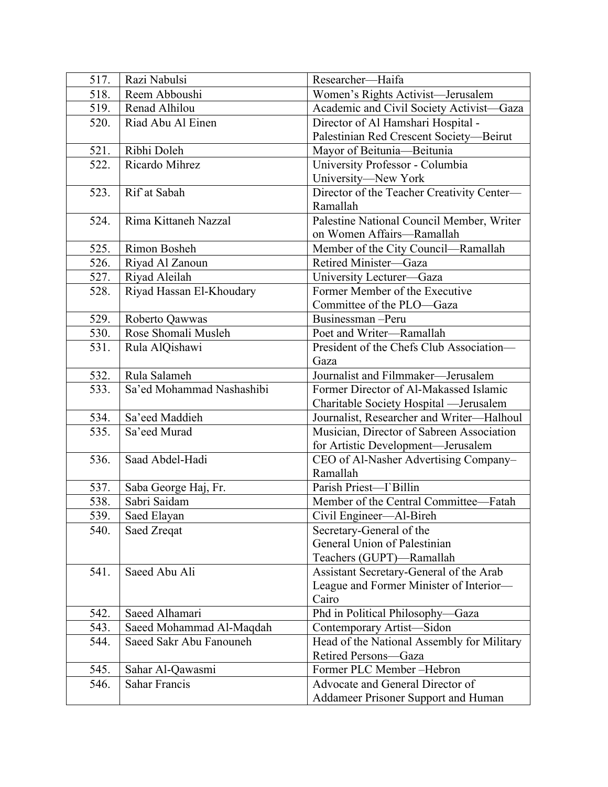| 517. | Razi Nabulsi                         | Researcher-Haifa                                         |
|------|--------------------------------------|----------------------------------------------------------|
| 518. | Reem Abboushi                        | Women's Rights Activist-Jerusalem                        |
| 519. | Renad Alhilou                        | Academic and Civil Society Activist-Gaza                 |
| 520. | Riad Abu Al Einen                    | Director of Al Hamshari Hospital -                       |
|      |                                      | Palestinian Red Crescent Society-Beirut                  |
| 521. | Ribhi Doleh                          | Mayor of Beitunia-Beitunia                               |
| 522. | Ricardo Mihrez                       | University Professor - Columbia                          |
|      |                                      | University-New York                                      |
| 523. | Rif at Sabah                         | Director of the Teacher Creativity Center-               |
|      |                                      | Ramallah                                                 |
| 524. | Rima Kittaneh Nazzal                 | Palestine National Council Member, Writer                |
|      |                                      | on Women Affairs-Ramallah                                |
| 525. | Rimon Bosheh                         | Member of the City Council-Ramallah                      |
| 526. | Riyad Al Zanoun                      | Retired Minister-Gaza                                    |
| 527. | Riyad Aleilah                        | University Lecturer-Gaza                                 |
| 528. | Riyad Hassan El-Khoudary             | Former Member of the Executive                           |
|      |                                      | Committee of the PLO—Gaza                                |
| 529. | Roberto Qawwas                       | Businessman-Peru                                         |
| 530. | Rose Shomali Musleh                  | Poet and Writer-Ramallah                                 |
| 531. | Rula AlQishawi                       | President of the Chefs Club Association-                 |
|      |                                      | Gaza                                                     |
| 532. | Rula Salameh                         | Journalist and Filmmaker-Jerusalem                       |
| 533. | Sa'ed Mohammad Nashashibi            | Former Director of Al-Makassed Islamic                   |
|      |                                      | Charitable Society Hospital - Jerusalem                  |
| 534. | Sa'eed Maddieh                       | Journalist, Researcher and Writer-Halhoul                |
| 535. | Sa'eed Murad                         | Musician, Director of Sabreen Association                |
|      |                                      | for Artistic Development-Jerusalem                       |
| 536. | Saad Abdel-Hadi                      | CEO of Al-Nasher Advertising Company-<br>Ramallah        |
|      |                                      | Parish Priest-T Billin                                   |
| 537. | Saba George Haj, Fr.<br>Sabri Saidam |                                                          |
| 538. |                                      | Member of the Central Committee—Fatah                    |
| 539. | Saed Elayan                          | Civil Engineer—Al-Bireh                                  |
| 540. | Saed Zreqat                          | Secretary-General of the<br>General Union of Palestinian |
|      |                                      |                                                          |
| 541. | Saeed Abu Ali                        | Teachers (GUPT)-Ramallah                                 |
|      |                                      | Assistant Secretary-General of the Arab                  |
|      |                                      | League and Former Minister of Interior-<br>Cairo         |
| 542. | Saeed Alhamari                       | Phd in Political Philosophy-Gaza                         |
| 543. | Saeed Mohammad Al-Maqdah             | Contemporary Artist-Sidon                                |
| 544. | Saeed Sakr Abu Fanouneh              | Head of the National Assembly for Military               |
|      |                                      | Retired Persons-Gaza                                     |
| 545. | Sahar Al-Qawasmi                     | Former PLC Member-Hebron                                 |
| 546. | <b>Sahar Francis</b>                 | Advocate and General Director of                         |
|      |                                      | <b>Addameer Prisoner Support and Human</b>               |
|      |                                      |                                                          |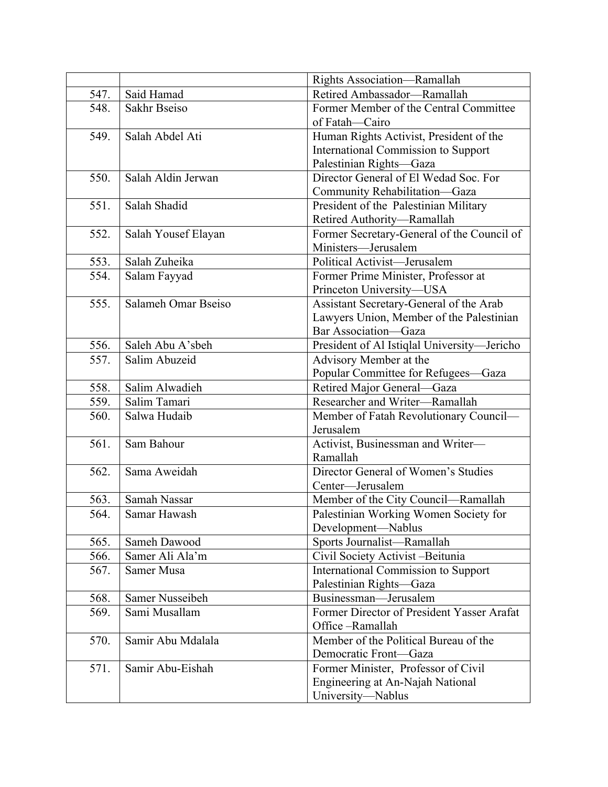|              |                                 | Rights Association-Ramallah                      |
|--------------|---------------------------------|--------------------------------------------------|
| 547.         | Said Hamad                      | Retired Ambassador-Ramallah                      |
| 548.         | Sakhr Bseiso                    | Former Member of the Central Committee           |
|              |                                 | of Fatah-Cairo                                   |
| 549.         | Salah Abdel Ati                 | Human Rights Activist, President of the          |
|              |                                 | <b>International Commission to Support</b>       |
|              |                                 | Palestinian Rights-Gaza                          |
| 550.         | Salah Aldin Jerwan              | Director General of El Wedad Soc. For            |
|              |                                 | Community Rehabilitation-Gaza                    |
| 551.         | Salah Shadid                    | President of the Palestinian Military            |
|              |                                 | Retired Authority-Ramallah                       |
| 552.         | Salah Yousef Elayan             | Former Secretary-General of the Council of       |
|              |                                 | Ministers-Jerusalem                              |
| 553.         | Salah Zuheika                   | Political Activist-Jerusalem                     |
| 554.         | Salam Fayyad                    | Former Prime Minister, Professor at              |
|              |                                 | Princeton University-USA                         |
| 555.         | Salameh Omar Bseiso             | Assistant Secretary-General of the Arab          |
|              |                                 | Lawyers Union, Member of the Palestinian         |
|              |                                 | Bar Association-Gaza                             |
| 556.         | Saleh Abu A'sbeh                | President of Al Istiqlal University-Jericho      |
| 557.         | Salim Abuzeid                   | Advisory Member at the                           |
|              |                                 | Popular Committee for Refugees-Gaza              |
| 558.         | Salim Alwadieh                  | Retired Major General-Gaza                       |
| 559.         | Salim Tamari                    | Researcher and Writer-Ramallah                   |
| 560.         | Salwa Hudaib                    | Member of Fatah Revolutionary Council-           |
|              |                                 | Jerusalem                                        |
| 561.         | Sam Bahour                      | Activist, Businessman and Writer-                |
|              |                                 | Ramallah                                         |
| 562.         | Sama Aweidah                    | Director General of Women's Studies              |
|              |                                 | Center-Jerusalem                                 |
| 563.         | Samah Nassar                    | Member of the City Council-Ramallah              |
| 564.         | Samar Hawash                    | Palestinian Working Women Society for            |
|              |                                 | Development-Nablus                               |
| 565.         | Sameh Dawood<br>Samer Ali Ala'm | Sports Journalist-Ramallah                       |
| 566.<br>567. | Samer Musa                      | Civil Society Activist -Beitunia                 |
|              |                                 | <b>International Commission to Support</b>       |
|              | Samer Nusseibeh                 | Palestinian Rights-Gaza<br>Businessman-Jerusalem |
| 568.<br>569. | Sami Musallam                   | Former Director of President Yasser Arafat       |
|              |                                 | Office-Ramallah                                  |
| 570.         | Samir Abu Mdalala               | Member of the Political Bureau of the            |
|              |                                 | Democratic Front-Gaza                            |
| 571.         | Samir Abu-Eishah                | Former Minister, Professor of Civil              |
|              |                                 | Engineering at An-Najah National                 |
|              |                                 | University-Nablus                                |
|              |                                 |                                                  |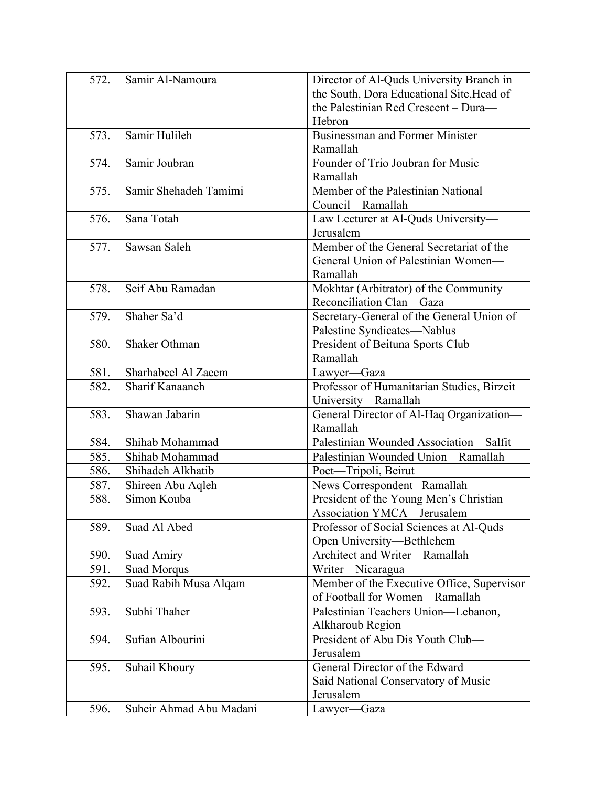| 572. | Samir Al-Namoura        | Director of Al-Quds University Branch in   |
|------|-------------------------|--------------------------------------------|
|      |                         | the South, Dora Educational Site, Head of  |
|      |                         | the Palestinian Red Crescent - Dura-       |
|      |                         | Hebron                                     |
| 573. | Samir Hulileh           | Businessman and Former Minister-           |
|      |                         | Ramallah                                   |
| 574. | Samir Joubran           | Founder of Trio Joubran for Music-         |
|      |                         | Ramallah                                   |
| 575. | Samir Shehadeh Tamimi   | Member of the Palestinian National         |
|      |                         | Council-Ramallah                           |
| 576. | Sana Totah              | Law Lecturer at Al-Quds University-        |
|      |                         | Jerusalem                                  |
| 577. | Sawsan Saleh            | Member of the General Secretariat of the   |
|      |                         | General Union of Palestinian Women-        |
|      |                         | Ramallah                                   |
| 578. | Seif Abu Ramadan        | Mokhtar (Arbitrator) of the Community      |
|      |                         | Reconciliation Clan-Gaza                   |
| 579. | Shaher Sa'd             | Secretary-General of the General Union of  |
|      |                         | Palestine Syndicates-Nablus                |
| 580. | <b>Shaker Othman</b>    | President of Beituna Sports Club-          |
|      |                         | Ramallah                                   |
| 581. | Sharhabeel Al Zaeem     | Lawyer-Gaza                                |
| 582. | Sharif Kanaaneh         | Professor of Humanitarian Studies, Birzeit |
|      |                         | University-Ramallah                        |
| 583. | Shawan Jabarin          | General Director of Al-Haq Organization-   |
|      |                         | Ramallah                                   |
| 584. | Shihab Mohammad         | Palestinian Wounded Association-Salfit     |
| 585. | Shihab Mohammad         | Palestinian Wounded Union-Ramallah         |
| 586. | Shihadeh Alkhatib       | Poet-Tripoli, Beirut                       |
| 587. | Shireen Abu Aqleh       | News Correspondent-Ramallah                |
| 588. | Simon Kouba             | President of the Young Men's Christian     |
|      |                         | Association YMCA-Jerusalem                 |
| 589. | Suad Al Abed            | Professor of Social Sciences at Al-Quds    |
|      |                         | Open University-Bethlehem                  |
| 590. | Suad Amiry              | Architect and Writer-Ramallah              |
| 591. | <b>Suad Morqus</b>      | Writer-Nicaragua                           |
| 592. | Suad Rabih Musa Alqam   | Member of the Executive Office, Supervisor |
|      |                         | of Football for Women-Ramallah             |
| 593. | Subhi Thaher            | Palestinian Teachers Union-Lebanon,        |
|      |                         | Alkharoub Region                           |
| 594. | Sufian Albourini        | President of Abu Dis Youth Club-           |
|      |                         | Jerusalem                                  |
| 595. | Suhail Khoury           | General Director of the Edward             |
|      |                         | Said National Conservatory of Music-       |
|      |                         | Jerusalem                                  |
| 596. | Suheir Ahmad Abu Madani | Lawyer—Gaza                                |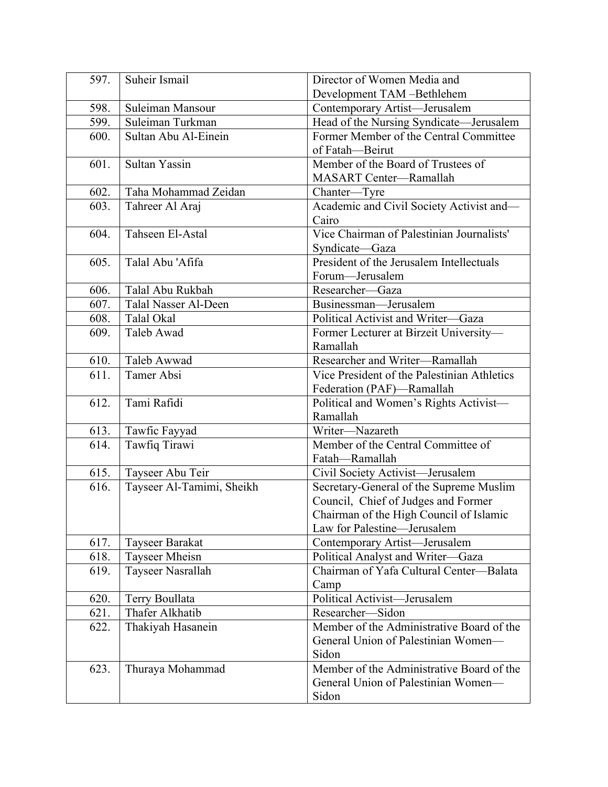| 597. | Suheir Ismail             | Director of Women Media and                                              |
|------|---------------------------|--------------------------------------------------------------------------|
|      |                           | Development TAM-Bethlehem                                                |
| 598. | Suleiman Mansour          | Contemporary Artist-Jerusalem                                            |
| 599. | Suleiman Turkman          | Head of the Nursing Syndicate-Jerusalem                                  |
| 600. | Sultan Abu Al-Einein      | Former Member of the Central Committee                                   |
|      |                           | of Fatah-Beirut                                                          |
| 601. | Sultan Yassin             | Member of the Board of Trustees of                                       |
|      |                           | <b>MASART Center-Ramallah</b>                                            |
| 602. | Taha Mohammad Zeidan      | Chanter—Tyre                                                             |
| 603. | Tahreer Al Araj           | Academic and Civil Society Activist and-                                 |
|      |                           | Cairo                                                                    |
| 604. | Tahseen El-Astal          | Vice Chairman of Palestinian Journalists'                                |
|      |                           | Syndicate-Gaza                                                           |
| 605. | Talal Abu 'Afifa          | President of the Jerusalem Intellectuals                                 |
|      |                           | Forum-Jerusalem                                                          |
| 606. | Talal Abu Rukbah          | Researcher-Gaza                                                          |
| 607. | Talal Nasser Al-Deen      | Businessman-Jerusalem                                                    |
| 608. | Talal Okal                | Political Activist and Writer-Gaza                                       |
| 609. | Taleb Awad                | Former Lecturer at Birzeit University-                                   |
|      |                           | Ramallah                                                                 |
| 610. | Taleb Awwad               | Researcher and Writer-Ramallah                                           |
| 611. | Tamer Absi                | Vice President of the Palestinian Athletics<br>Federation (PAF)—Ramallah |
| 612. | Tami Rafidi               | Political and Women's Rights Activist-                                   |
|      |                           | Ramallah                                                                 |
| 613. | Tawfic Fayyad             | Writer-Nazareth                                                          |
| 614. | Tawfiq Tirawi             | Member of the Central Committee of                                       |
|      |                           | Fatah-Ramallah                                                           |
| 615. | Tayseer Abu Teir          | Civil Society Activist-Jerusalem                                         |
| 616. | Tayseer Al-Tamimi, Sheikh | Secretary-General of the Supreme Muslim                                  |
|      |                           | Council, Chief of Judges and Former                                      |
|      |                           | Chairman of the High Council of Islamic                                  |
|      |                           | Law for Palestine-Jerusalem                                              |
| 617. | Tayseer Barakat           | Contemporary Artist-Jerusalem                                            |
| 618. | Tayseer Mheisn            | Political Analyst and Writer-Gaza                                        |
| 619. | Tayseer Nasrallah         | Chairman of Yafa Cultural Center-Balata                                  |
|      |                           | Camp                                                                     |
| 620. | Terry Boullata            | Political Activist-Jerusalem                                             |
| 621. | Thafer Alkhatib           | Researcher-Sidon                                                         |
| 622. | Thakiyah Hasanein         | Member of the Administrative Board of the                                |
|      |                           | General Union of Palestinian Women—                                      |
|      |                           | Sidon                                                                    |
| 623. | Thuraya Mohammad          | Member of the Administrative Board of the                                |
|      |                           | General Union of Palestinian Women—                                      |
|      |                           | Sidon                                                                    |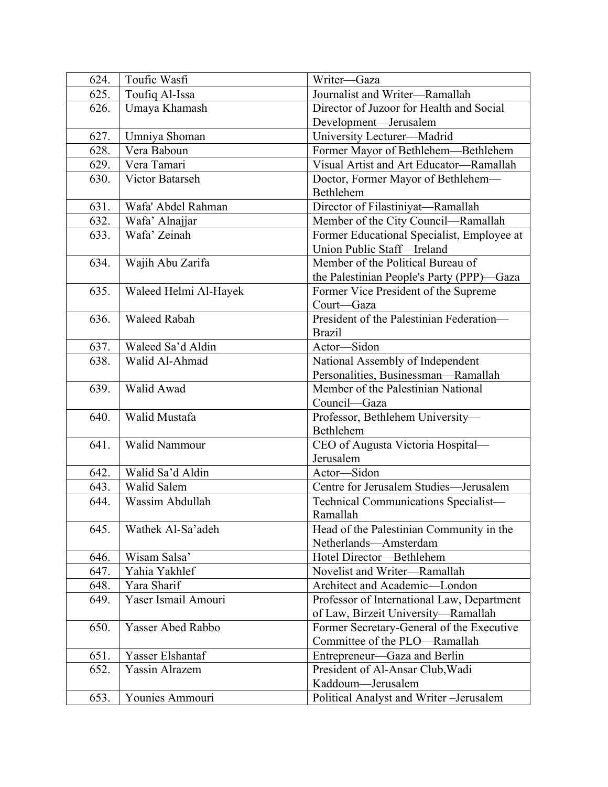| 624. | Toufic Wasfi          | Writer-Gaza                                |
|------|-----------------------|--------------------------------------------|
| 625. | Toufiq Al-Issa        | Journalist and Writer-Ramallah             |
| 626. | Umaya Khamash         | Director of Juzoor for Health and Social   |
|      |                       | Development-Jerusalem                      |
| 627. | Umniya Shoman         | University Lecturer-Madrid                 |
| 628. | Vera Baboun           | Former Mayor of Bethlehem—Bethlehem        |
| 629. | Vera Tamari           | Visual Artist and Art Educator-Ramallah    |
| 630. | Victor Batarseh       | Doctor, Former Mayor of Bethlehem-         |
|      |                       | Bethlehem                                  |
| 631. | Wafa' Abdel Rahman    | Director of Filastiniyat-Ramallah          |
| 632. | Wafa' Alnajjar        | Member of the City Council-Ramallah        |
| 633. | Wafa' Zeinah          | Former Educational Specialist, Employee at |
|      |                       | Union Public Staff-Ireland                 |
| 634. | Wajih Abu Zarifa      | Member of the Political Bureau of          |
|      |                       | the Palestinian People's Party (PPP)-Gaza  |
| 635. | Waleed Helmi Al-Hayek | Former Vice President of the Supreme       |
|      |                       | Court-Gaza                                 |
| 636. | <b>Waleed Rabah</b>   | President of the Palestinian Federation-   |
|      |                       | <b>Brazil</b>                              |
| 637. | Waleed Sa'd Aldin     | Actor-Sidon                                |
| 638. | Walid Al-Ahmad        | National Assembly of Independent           |
|      |                       | Personalities, Businessman-Ramallah        |
| 639. | Walid Awad            | Member of the Palestinian National         |
|      |                       | Council-Gaza                               |
| 640. | Walid Mustafa         | Professor, Bethlehem University-           |
|      |                       | Bethlehem                                  |
| 641. | Walid Nammour         | CEO of Augusta Victoria Hospital-          |
|      |                       | Jerusalem                                  |
| 642. | Walid Sa'd Aldin      | Actor-Sidon                                |
| 643. | Walid Salem           | Centre for Jerusalem Studies-Jerusalem     |
| 644. | Wassim Abdullah       | Technical Communications Specialist-       |
|      |                       | Ramallah                                   |
| 645. | Wathek Al-Sa'adeh     | Head of the Palestinian Community in the   |
|      |                       | Netherlands-Amsterdam                      |
| 646. | Wisam Salsa'          | Hotel Director-Bethlehem                   |
| 647. | Yahia Yakhlef         | Novelist and Writer-Ramallah               |
| 648. | Yara Sharif           | Architect and Academic-London              |
| 649. | Yaser Ismail Amouri   | Professor of International Law, Department |
|      |                       | of Law, Birzeit University-Ramallah        |
| 650. | Yasser Abed Rabbo     | Former Secretary-General of the Executive  |
|      |                       | Committee of the PLO-Ramallah              |
| 651. | Yasser Elshantaf      | Entrepreneur—Gaza and Berlin               |
| 652. | Yassin Alrazem        | President of Al-Ansar Club, Wadi           |
|      |                       | Kaddoum-Jerusalem                          |
| 653. | Younies Ammouri       | Political Analyst and Writer-Jerusalem     |